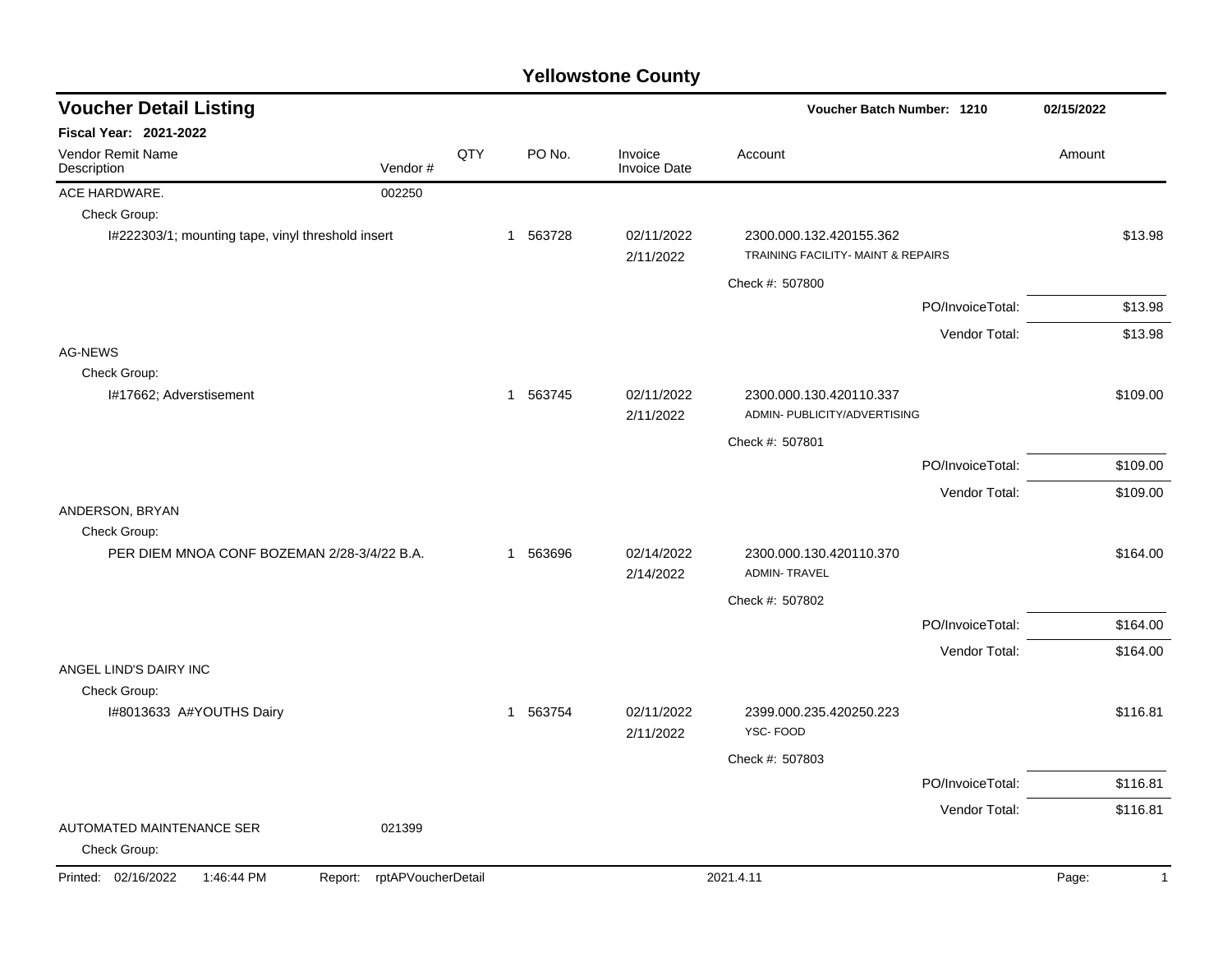| <b>Voucher Detail Listing</b>                     |                    |     |          |                                | Voucher Batch Number: 1210                                    |                  | 02/15/2022            |
|---------------------------------------------------|--------------------|-----|----------|--------------------------------|---------------------------------------------------------------|------------------|-----------------------|
| Fiscal Year: 2021-2022                            |                    |     |          |                                |                                                               |                  |                       |
| Vendor Remit Name<br>Description                  | Vendor#            | QTY | PO No.   | Invoice<br><b>Invoice Date</b> | Account                                                       |                  | Amount                |
| ACE HARDWARE.                                     | 002250             |     |          |                                |                                                               |                  |                       |
| Check Group:                                      |                    |     |          |                                |                                                               |                  |                       |
| I#222303/1; mounting tape, vinyl threshold insert |                    |     | 1 563728 | 02/11/2022<br>2/11/2022        | 2300.000.132.420155.362<br>TRAINING FACILITY- MAINT & REPAIRS |                  | \$13.98               |
|                                                   |                    |     |          |                                | Check #: 507800                                               |                  |                       |
|                                                   |                    |     |          |                                |                                                               | PO/InvoiceTotal: | \$13.98               |
|                                                   |                    |     |          |                                |                                                               | Vendor Total:    | \$13.98               |
| <b>AG-NEWS</b>                                    |                    |     |          |                                |                                                               |                  |                       |
| Check Group:                                      |                    |     |          |                                |                                                               |                  |                       |
| I#17662; Adverstisement                           |                    |     | 1 563745 | 02/11/2022<br>2/11/2022        | 2300.000.130.420110.337<br>ADMIN- PUBLICITY/ADVERTISING       |                  | \$109.00              |
|                                                   |                    |     |          |                                | Check #: 507801                                               |                  |                       |
|                                                   |                    |     |          |                                |                                                               | PO/InvoiceTotal: | \$109.00              |
|                                                   |                    |     |          |                                |                                                               | Vendor Total:    | \$109.00              |
| ANDERSON, BRYAN                                   |                    |     |          |                                |                                                               |                  |                       |
| Check Group:                                      |                    |     |          |                                |                                                               |                  |                       |
| PER DIEM MNOA CONF BOZEMAN 2/28-3/4/22 B.A.       |                    |     | 1 563696 | 02/14/2022<br>2/14/2022        | 2300.000.130.420110.370<br><b>ADMIN-TRAVEL</b>                |                  | \$164.00              |
|                                                   |                    |     |          |                                | Check #: 507802                                               |                  |                       |
|                                                   |                    |     |          |                                |                                                               | PO/InvoiceTotal: | \$164.00              |
|                                                   |                    |     |          |                                |                                                               | Vendor Total:    | \$164.00              |
| ANGEL LIND'S DAIRY INC                            |                    |     |          |                                |                                                               |                  |                       |
| Check Group:                                      |                    |     |          |                                |                                                               |                  |                       |
| I#8013633 A#YOUTHS Dairy                          |                    |     | 1 563754 | 02/11/2022<br>2/11/2022        | 2399.000.235.420250.223<br>YSC-FOOD                           |                  | \$116.81              |
|                                                   |                    |     |          |                                | Check #: 507803                                               |                  |                       |
|                                                   |                    |     |          |                                |                                                               | PO/InvoiceTotal: | \$116.81              |
|                                                   |                    |     |          |                                |                                                               | Vendor Total:    | \$116.81              |
| <b>AUTOMATED MAINTENANCE SER</b><br>Check Group:  | 021399             |     |          |                                |                                                               |                  |                       |
| Printed: 02/16/2022<br>1:46:44 PM<br>Report:      | rptAPVoucherDetail |     |          |                                | 2021.4.11                                                     |                  | Page:<br>$\mathbf{1}$ |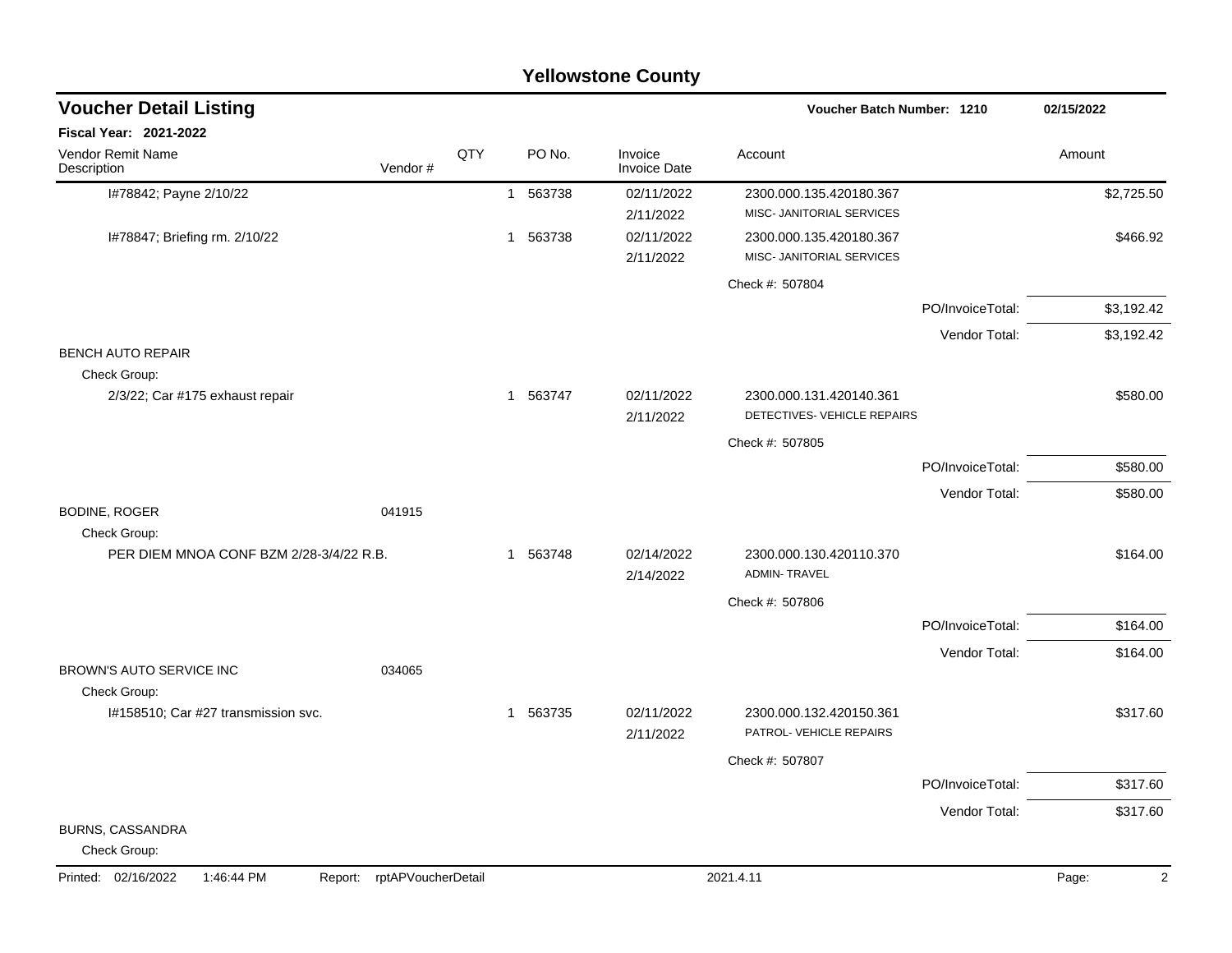| Fiscal Year: 2021-2022<br>Vendor Remit Name<br>QTY<br>PO No.<br>Invoice<br>Account<br>Amount<br>Vendor#<br><b>Invoice Date</b><br>Description<br>I#78842; Payne 2/10/22<br>02/11/2022<br>563738<br>2300.000.135.420180.367<br>$\mathbf{1}$<br>MISC- JANITORIAL SERVICES<br>2/11/2022<br>563738<br>02/11/2022<br>I#78847; Briefing rm. 2/10/22<br>$\mathbf{1}$<br>2300.000.135.420180.367<br>MISC- JANITORIAL SERVICES<br>2/11/2022<br>Check #: 507804<br>PO/InvoiceTotal:<br>Vendor Total:<br><b>BENCH AUTO REPAIR</b><br>Check Group:<br>02/11/2022<br>2/3/22; Car #175 exhaust repair<br>563747<br>2300.000.131.420140.361<br>\$580.00<br>1<br>DETECTIVES- VEHICLE REPAIRS<br>2/11/2022<br>Check #: 507805<br>PO/InvoiceTotal:<br>Vendor Total:<br><b>BODINE, ROGER</b><br>041915<br>Check Group:<br>PER DIEM MNOA CONF BZM 2/28-3/4/22 R.B.<br>563748<br>02/14/2022<br>2300.000.130.420110.370<br>\$164.00<br>$\mathbf{1}$<br><b>ADMIN-TRAVEL</b><br>2/14/2022<br>Check #: 507806<br>PO/InvoiceTotal:<br>Vendor Total:<br>BROWN'S AUTO SERVICE INC<br>034065<br>Check Group:<br>02/11/2022<br>I#158510; Car #27 transmission svc.<br>563735<br>2300.000.132.420150.361<br>\$317.60<br>-1<br>PATROL- VEHICLE REPAIRS<br>2/11/2022<br>Check #: 507807<br>PO/InvoiceTotal:<br>Vendor Total:<br>BURNS, CASSANDRA | <b>Voucher Detail Listing</b> |  |  | <b>Voucher Batch Number: 1210</b> | 02/15/2022 |
|-----------------------------------------------------------------------------------------------------------------------------------------------------------------------------------------------------------------------------------------------------------------------------------------------------------------------------------------------------------------------------------------------------------------------------------------------------------------------------------------------------------------------------------------------------------------------------------------------------------------------------------------------------------------------------------------------------------------------------------------------------------------------------------------------------------------------------------------------------------------------------------------------------------------------------------------------------------------------------------------------------------------------------------------------------------------------------------------------------------------------------------------------------------------------------------------------------------------------------------------------------------------------------------------------------------------|-------------------------------|--|--|-----------------------------------|------------|
|                                                                                                                                                                                                                                                                                                                                                                                                                                                                                                                                                                                                                                                                                                                                                                                                                                                                                                                                                                                                                                                                                                                                                                                                                                                                                                                 |                               |  |  |                                   |            |
|                                                                                                                                                                                                                                                                                                                                                                                                                                                                                                                                                                                                                                                                                                                                                                                                                                                                                                                                                                                                                                                                                                                                                                                                                                                                                                                 |                               |  |  |                                   |            |
|                                                                                                                                                                                                                                                                                                                                                                                                                                                                                                                                                                                                                                                                                                                                                                                                                                                                                                                                                                                                                                                                                                                                                                                                                                                                                                                 |                               |  |  |                                   | \$2,725.50 |
|                                                                                                                                                                                                                                                                                                                                                                                                                                                                                                                                                                                                                                                                                                                                                                                                                                                                                                                                                                                                                                                                                                                                                                                                                                                                                                                 |                               |  |  |                                   | \$466.92   |
|                                                                                                                                                                                                                                                                                                                                                                                                                                                                                                                                                                                                                                                                                                                                                                                                                                                                                                                                                                                                                                                                                                                                                                                                                                                                                                                 |                               |  |  |                                   |            |
|                                                                                                                                                                                                                                                                                                                                                                                                                                                                                                                                                                                                                                                                                                                                                                                                                                                                                                                                                                                                                                                                                                                                                                                                                                                                                                                 |                               |  |  |                                   | \$3,192.42 |
|                                                                                                                                                                                                                                                                                                                                                                                                                                                                                                                                                                                                                                                                                                                                                                                                                                                                                                                                                                                                                                                                                                                                                                                                                                                                                                                 |                               |  |  |                                   | \$3,192.42 |
|                                                                                                                                                                                                                                                                                                                                                                                                                                                                                                                                                                                                                                                                                                                                                                                                                                                                                                                                                                                                                                                                                                                                                                                                                                                                                                                 |                               |  |  |                                   |            |
|                                                                                                                                                                                                                                                                                                                                                                                                                                                                                                                                                                                                                                                                                                                                                                                                                                                                                                                                                                                                                                                                                                                                                                                                                                                                                                                 |                               |  |  |                                   |            |
|                                                                                                                                                                                                                                                                                                                                                                                                                                                                                                                                                                                                                                                                                                                                                                                                                                                                                                                                                                                                                                                                                                                                                                                                                                                                                                                 |                               |  |  |                                   |            |
|                                                                                                                                                                                                                                                                                                                                                                                                                                                                                                                                                                                                                                                                                                                                                                                                                                                                                                                                                                                                                                                                                                                                                                                                                                                                                                                 |                               |  |  |                                   |            |
|                                                                                                                                                                                                                                                                                                                                                                                                                                                                                                                                                                                                                                                                                                                                                                                                                                                                                                                                                                                                                                                                                                                                                                                                                                                                                                                 |                               |  |  |                                   | \$580.00   |
|                                                                                                                                                                                                                                                                                                                                                                                                                                                                                                                                                                                                                                                                                                                                                                                                                                                                                                                                                                                                                                                                                                                                                                                                                                                                                                                 |                               |  |  |                                   | \$580.00   |
|                                                                                                                                                                                                                                                                                                                                                                                                                                                                                                                                                                                                                                                                                                                                                                                                                                                                                                                                                                                                                                                                                                                                                                                                                                                                                                                 |                               |  |  |                                   |            |
|                                                                                                                                                                                                                                                                                                                                                                                                                                                                                                                                                                                                                                                                                                                                                                                                                                                                                                                                                                                                                                                                                                                                                                                                                                                                                                                 |                               |  |  |                                   |            |
|                                                                                                                                                                                                                                                                                                                                                                                                                                                                                                                                                                                                                                                                                                                                                                                                                                                                                                                                                                                                                                                                                                                                                                                                                                                                                                                 |                               |  |  |                                   |            |
|                                                                                                                                                                                                                                                                                                                                                                                                                                                                                                                                                                                                                                                                                                                                                                                                                                                                                                                                                                                                                                                                                                                                                                                                                                                                                                                 |                               |  |  |                                   |            |
|                                                                                                                                                                                                                                                                                                                                                                                                                                                                                                                                                                                                                                                                                                                                                                                                                                                                                                                                                                                                                                                                                                                                                                                                                                                                                                                 |                               |  |  |                                   | \$164.00   |
|                                                                                                                                                                                                                                                                                                                                                                                                                                                                                                                                                                                                                                                                                                                                                                                                                                                                                                                                                                                                                                                                                                                                                                                                                                                                                                                 |                               |  |  |                                   | \$164.00   |
|                                                                                                                                                                                                                                                                                                                                                                                                                                                                                                                                                                                                                                                                                                                                                                                                                                                                                                                                                                                                                                                                                                                                                                                                                                                                                                                 |                               |  |  |                                   |            |
|                                                                                                                                                                                                                                                                                                                                                                                                                                                                                                                                                                                                                                                                                                                                                                                                                                                                                                                                                                                                                                                                                                                                                                                                                                                                                                                 |                               |  |  |                                   |            |
|                                                                                                                                                                                                                                                                                                                                                                                                                                                                                                                                                                                                                                                                                                                                                                                                                                                                                                                                                                                                                                                                                                                                                                                                                                                                                                                 |                               |  |  |                                   |            |
|                                                                                                                                                                                                                                                                                                                                                                                                                                                                                                                                                                                                                                                                                                                                                                                                                                                                                                                                                                                                                                                                                                                                                                                                                                                                                                                 |                               |  |  |                                   |            |
|                                                                                                                                                                                                                                                                                                                                                                                                                                                                                                                                                                                                                                                                                                                                                                                                                                                                                                                                                                                                                                                                                                                                                                                                                                                                                                                 |                               |  |  |                                   | \$317.60   |
|                                                                                                                                                                                                                                                                                                                                                                                                                                                                                                                                                                                                                                                                                                                                                                                                                                                                                                                                                                                                                                                                                                                                                                                                                                                                                                                 |                               |  |  |                                   | \$317.60   |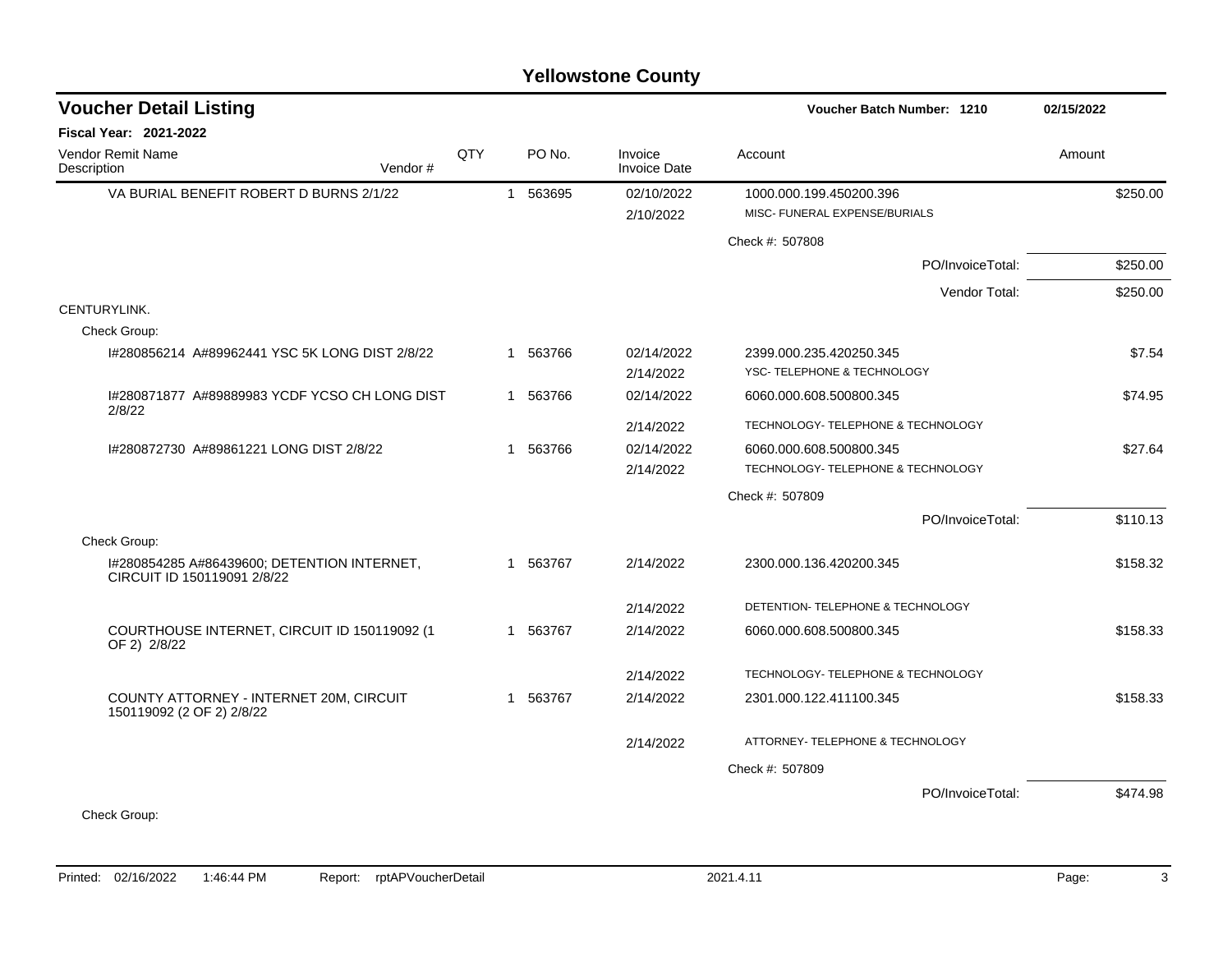| <b>Voucher Detail Listing</b>                                              |         |     |              |          |                                | Voucher Batch Number: 1210         | 02/15/2022 |
|----------------------------------------------------------------------------|---------|-----|--------------|----------|--------------------------------|------------------------------------|------------|
| <b>Fiscal Year: 2021-2022</b>                                              |         |     |              |          |                                |                                    |            |
| Vendor Remit Name<br>Description                                           | Vendor# | QTY |              | PO No.   | Invoice<br><b>Invoice Date</b> | Account                            | Amount     |
| VA BURIAL BENEFIT ROBERT D BURNS 2/1/22                                    |         |     | $\mathbf{1}$ | 563695   | 02/10/2022                     | 1000.000.199.450200.396            | \$250.00   |
|                                                                            |         |     |              |          | 2/10/2022                      | MISC- FUNERAL EXPENSE/BURIALS      |            |
|                                                                            |         |     |              |          |                                | Check #: 507808                    |            |
|                                                                            |         |     |              |          |                                | PO/InvoiceTotal:                   | \$250.00   |
|                                                                            |         |     |              |          |                                | Vendor Total:                      | \$250.00   |
| CENTURYLINK.                                                               |         |     |              |          |                                |                                    |            |
| Check Group:                                                               |         |     |              |          |                                |                                    |            |
| I#280856214 A#89962441 YSC 5K LONG DIST 2/8/22                             |         |     |              | 1 563766 | 02/14/2022                     | 2399.000.235.420250.345            | \$7.54     |
|                                                                            |         |     |              |          | 2/14/2022                      | YSC-TELEPHONE & TECHNOLOGY         |            |
| I#280871877 A#89889983 YCDF YCSO CH LONG DIST<br>2/8/22                    |         |     |              | 1 563766 | 02/14/2022                     | 6060.000.608.500800.345            | \$74.95    |
|                                                                            |         |     |              |          | 2/14/2022                      | TECHNOLOGY- TELEPHONE & TECHNOLOGY |            |
| 1#280872730 A#89861221 LONG DIST 2/8/22                                    |         |     |              | 1 563766 | 02/14/2022                     | 6060.000.608.500800.345            | \$27.64    |
|                                                                            |         |     |              |          | 2/14/2022                      | TECHNOLOGY- TELEPHONE & TECHNOLOGY |            |
|                                                                            |         |     |              |          |                                | Check #: 507809                    |            |
|                                                                            |         |     |              |          |                                | PO/InvoiceTotal:                   | \$110.13   |
| Check Group:                                                               |         |     |              |          |                                |                                    |            |
| I#280854285 A#86439600; DETENTION INTERNET,<br>CIRCUIT ID 150119091 2/8/22 |         |     | 1            | 563767   | 2/14/2022                      | 2300.000.136.420200.345            | \$158.32   |
|                                                                            |         |     |              |          | 2/14/2022                      | DETENTION- TELEPHONE & TECHNOLOGY  |            |
| COURTHOUSE INTERNET, CIRCUIT ID 150119092 (1<br>OF 2) 2/8/22               |         |     |              | 1 563767 | 2/14/2022                      | 6060.000.608.500800.345            | \$158.33   |
|                                                                            |         |     |              |          | 2/14/2022                      | TECHNOLOGY- TELEPHONE & TECHNOLOGY |            |
| COUNTY ATTORNEY - INTERNET 20M, CIRCUIT<br>150119092 (2 OF 2) 2/8/22       |         |     | 1            | 563767   | 2/14/2022                      | 2301.000.122.411100.345            | \$158.33   |
|                                                                            |         |     |              |          | 2/14/2022                      | ATTORNEY- TELEPHONE & TECHNOLOGY   |            |
|                                                                            |         |     |              |          |                                | Check #: 507809                    |            |
|                                                                            |         |     |              |          |                                | PO/InvoiceTotal:                   | \$474.98   |
| Check Group:                                                               |         |     |              |          |                                |                                    |            |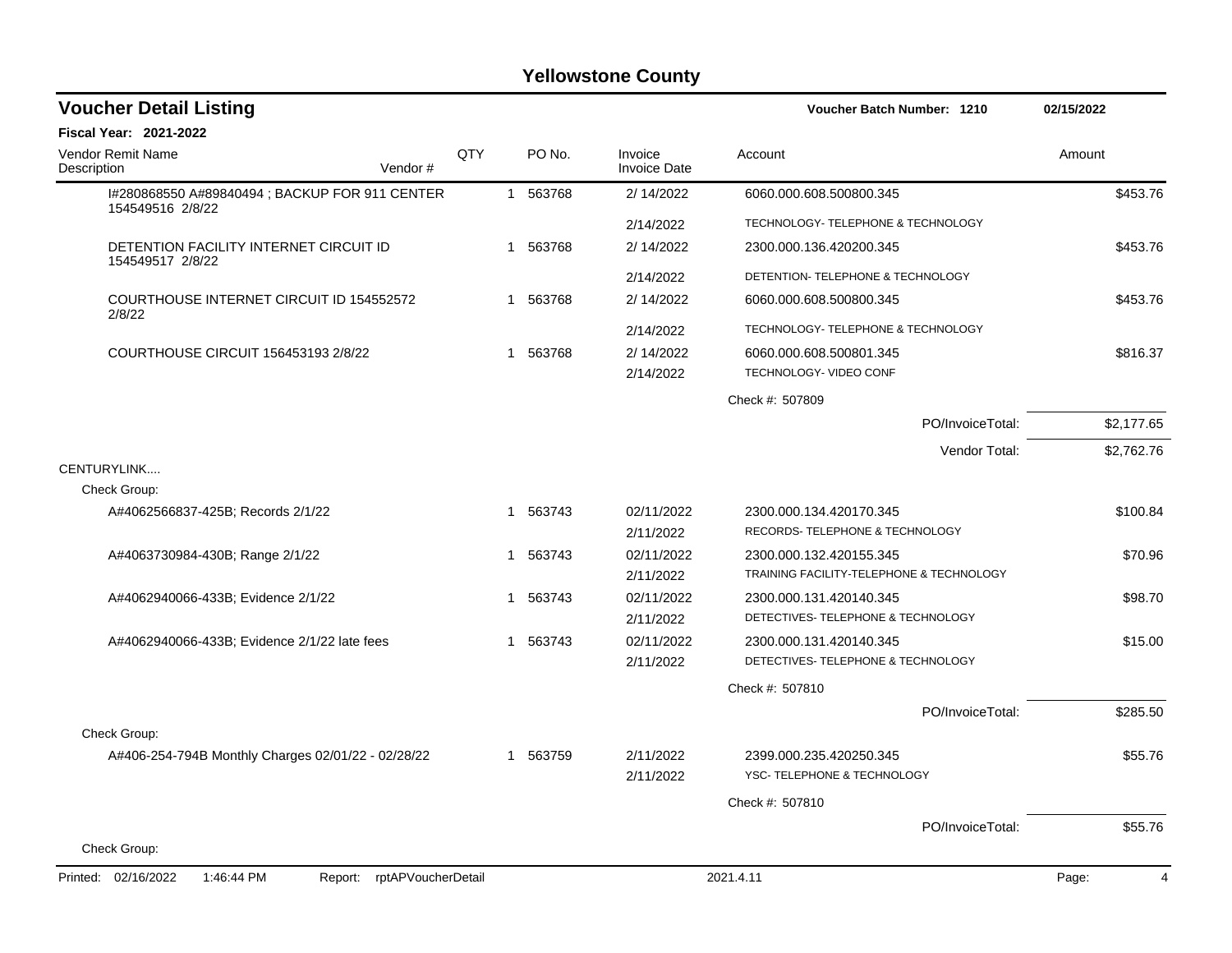| <b>Voucher Detail Listing</b>                                      |     |   |          |                                | Voucher Batch Number: 1210                                          | 02/15/2022 |
|--------------------------------------------------------------------|-----|---|----------|--------------------------------|---------------------------------------------------------------------|------------|
| <b>Fiscal Year: 2021-2022</b>                                      |     |   |          |                                |                                                                     |            |
| Vendor Remit Name<br>Description<br>Vendor#                        | QTY |   | PO No.   | Invoice<br><b>Invoice Date</b> | Account                                                             | Amount     |
| I#280868550 A#89840494 ; BACKUP FOR 911 CENTER<br>154549516 2/8/22 |     |   | 1 563768 | 2/ 14/2022                     | 6060.000.608.500800.345                                             | \$453.76   |
|                                                                    |     |   |          | 2/14/2022                      | TECHNOLOGY- TELEPHONE & TECHNOLOGY                                  |            |
| DETENTION FACILITY INTERNET CIRCUIT ID<br>154549517 2/8/22         |     |   | 1 563768 | 2/ 14/2022                     | 2300.000.136.420200.345                                             | \$453.76   |
|                                                                    |     |   |          | 2/14/2022                      | DETENTION- TELEPHONE & TECHNOLOGY                                   |            |
| COURTHOUSE INTERNET CIRCUIT ID 154552572<br>2/8/22                 |     | 1 | 563768   | 2/ 14/2022                     | 6060.000.608.500800.345                                             | \$453.76   |
|                                                                    |     |   |          | 2/14/2022                      | TECHNOLOGY- TELEPHONE & TECHNOLOGY                                  |            |
| COURTHOUSE CIRCUIT 156453193 2/8/22                                |     | 1 | 563768   | 2/ 14/2022<br>2/14/2022        | 6060.000.608.500801.345<br>TECHNOLOGY- VIDEO CONF                   | \$816.37   |
|                                                                    |     |   |          |                                | Check #: 507809                                                     |            |
|                                                                    |     |   |          |                                | PO/InvoiceTotal:                                                    | \$2,177.65 |
|                                                                    |     |   |          |                                | Vendor Total:                                                       | \$2,762.76 |
| CENTURYLINK                                                        |     |   |          |                                |                                                                     |            |
| Check Group:                                                       |     |   |          |                                |                                                                     |            |
| A#4062566837-425B; Records 2/1/22                                  |     |   | 1 563743 | 02/11/2022                     | 2300.000.134.420170.345                                             | \$100.84   |
|                                                                    |     |   |          | 2/11/2022                      | RECORDS- TELEPHONE & TECHNOLOGY                                     |            |
| A#4063730984-430B; Range 2/1/22                                    |     | 1 | 563743   | 02/11/2022                     | 2300.000.132.420155.345<br>TRAINING FACILITY-TELEPHONE & TECHNOLOGY | \$70.96    |
|                                                                    |     |   |          | 2/11/2022                      |                                                                     |            |
| A#4062940066-433B; Evidence 2/1/22                                 |     | 1 | 563743   | 02/11/2022<br>2/11/2022        | 2300.000.131.420140.345<br>DETECTIVES- TELEPHONE & TECHNOLOGY       | \$98.70    |
| A#4062940066-433B; Evidence 2/1/22 late fees                       |     | 1 | 563743   | 02/11/2022                     | 2300.000.131.420140.345                                             | \$15.00    |
|                                                                    |     |   |          | 2/11/2022                      | DETECTIVES- TELEPHONE & TECHNOLOGY                                  |            |
|                                                                    |     |   |          |                                | Check #: 507810                                                     |            |
|                                                                    |     |   |          |                                | PO/InvoiceTotal:                                                    | \$285.50   |
| Check Group:                                                       |     |   |          |                                |                                                                     |            |
| A#406-254-794B Monthly Charges 02/01/22 - 02/28/22                 |     |   | 1 563759 | 2/11/2022                      | 2399.000.235.420250.345                                             | \$55.76    |
|                                                                    |     |   |          | 2/11/2022                      | YSC- TELEPHONE & TECHNOLOGY                                         |            |
|                                                                    |     |   |          |                                | Check #: 507810                                                     |            |
|                                                                    |     |   |          |                                | PO/InvoiceTotal:                                                    | \$55.76    |
| Check Group:                                                       |     |   |          |                                |                                                                     |            |
| Printed: 02/16/2022<br>1:46:44 PM<br>rptAPVoucherDetail<br>Report: |     |   |          |                                | 2021.4.11                                                           | Page:<br>4 |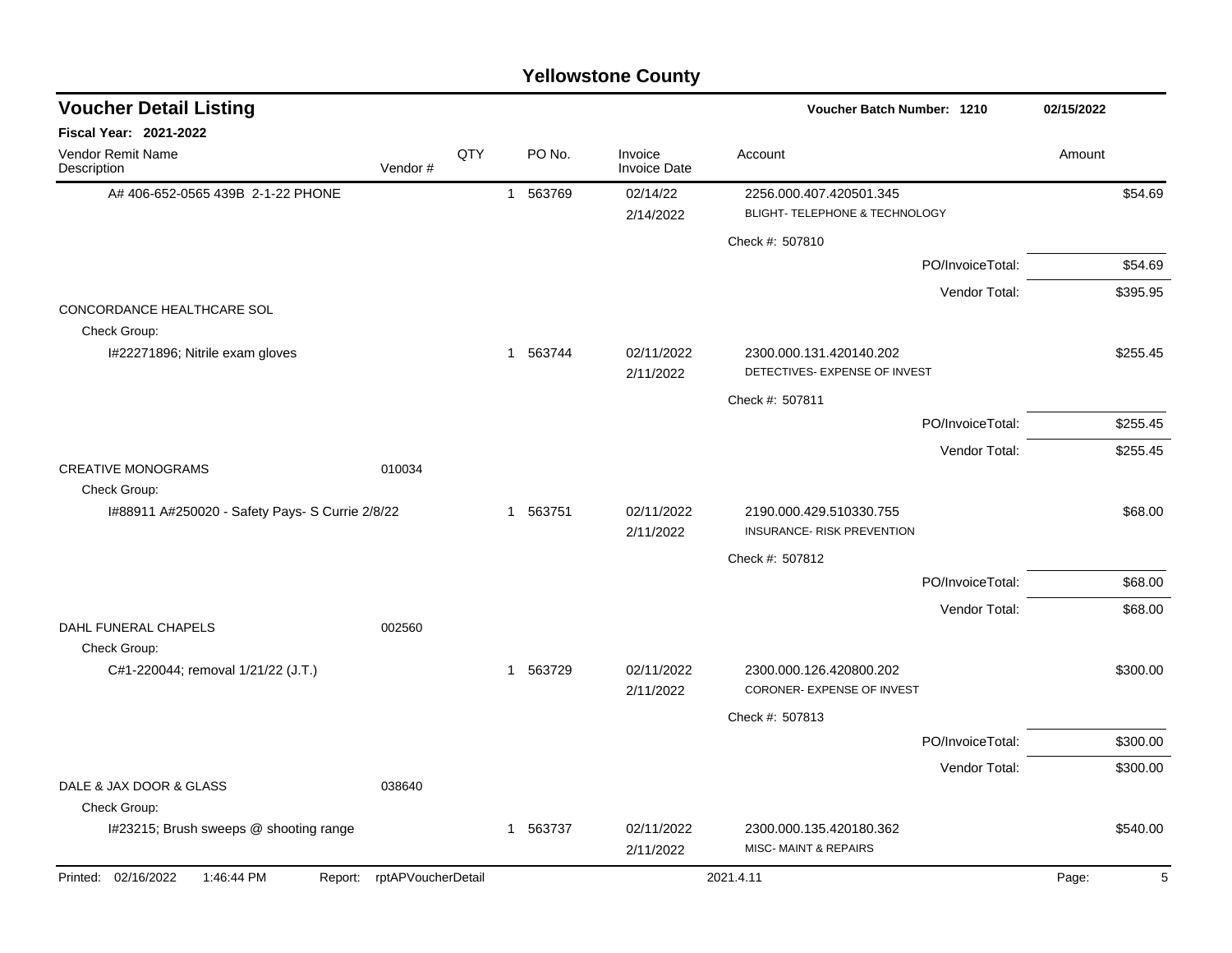| <b>Yellowstone County</b>                                       |                            |     |                        |                                |                                                              |                  |            |  |  |  |
|-----------------------------------------------------------------|----------------------------|-----|------------------------|--------------------------------|--------------------------------------------------------------|------------------|------------|--|--|--|
| <b>Voucher Detail Listing</b>                                   |                            |     |                        |                                | Voucher Batch Number: 1210                                   |                  | 02/15/2022 |  |  |  |
| Fiscal Year: 2021-2022                                          |                            |     |                        |                                |                                                              |                  |            |  |  |  |
| Vendor Remit Name<br>Description                                | Vendor#                    | QTY | PO No.                 | Invoice<br><b>Invoice Date</b> | Account                                                      |                  | Amount     |  |  |  |
| A# 406-652-0565 439B 2-1-22 PHONE                               |                            |     | 563769<br>$\mathbf{1}$ | 02/14/22                       | 2256.000.407.420501.345                                      |                  | \$54.69    |  |  |  |
|                                                                 |                            |     |                        | 2/14/2022                      | BLIGHT- TELEPHONE & TECHNOLOGY                               |                  |            |  |  |  |
|                                                                 |                            |     |                        |                                | Check #: 507810                                              |                  |            |  |  |  |
|                                                                 |                            |     |                        |                                |                                                              | PO/InvoiceTotal: | \$54.69    |  |  |  |
| CONCORDANCE HEALTHCARE SOL<br>Check Group:                      |                            |     |                        |                                |                                                              | Vendor Total:    | \$395.95   |  |  |  |
| I#22271896; Nitrile exam gloves                                 |                            |     | 1 563744               | 02/11/2022<br>2/11/2022        | 2300.000.131.420140.202<br>DETECTIVES- EXPENSE OF INVEST     |                  | \$255.45   |  |  |  |
|                                                                 |                            |     |                        |                                | Check #: 507811                                              |                  |            |  |  |  |
|                                                                 |                            |     |                        |                                |                                                              | PO/InvoiceTotal: | \$255.45   |  |  |  |
|                                                                 |                            |     |                        |                                |                                                              | Vendor Total:    | \$255.45   |  |  |  |
| <b>CREATIVE MONOGRAMS</b>                                       | 010034                     |     |                        |                                |                                                              |                  |            |  |  |  |
| Check Group:<br>I#88911 A#250020 - Safety Pays- S Currie 2/8/22 |                            |     | 563751<br>$\mathbf{1}$ | 02/11/2022<br>2/11/2022        | 2190.000.429.510330.755<br><b>INSURANCE- RISK PREVENTION</b> |                  | \$68.00    |  |  |  |
|                                                                 |                            |     |                        |                                | Check #: 507812                                              |                  |            |  |  |  |
|                                                                 |                            |     |                        |                                |                                                              | PO/InvoiceTotal: | \$68.00    |  |  |  |
|                                                                 |                            |     |                        |                                |                                                              | Vendor Total:    | \$68.00    |  |  |  |
| DAHL FUNERAL CHAPELS                                            | 002560                     |     |                        |                                |                                                              |                  |            |  |  |  |
| Check Group:<br>C#1-220044; removal 1/21/22 (J.T.)              |                            |     | 1 563729               | 02/11/2022<br>2/11/2022        | 2300.000.126.420800.202<br><b>CORONER- EXPENSE OF INVEST</b> |                  | \$300.00   |  |  |  |
|                                                                 |                            |     |                        |                                | Check #: 507813                                              |                  |            |  |  |  |
|                                                                 |                            |     |                        |                                |                                                              | PO/InvoiceTotal: | \$300.00   |  |  |  |
|                                                                 |                            |     |                        |                                |                                                              | Vendor Total:    | \$300.00   |  |  |  |
| DALE & JAX DOOR & GLASS                                         | 038640                     |     |                        |                                |                                                              |                  |            |  |  |  |
| Check Group:<br>I#23215; Brush sweeps @ shooting range          |                            |     | 1 563737               | 02/11/2022                     | 2300.000.135.420180.362                                      |                  | \$540.00   |  |  |  |
|                                                                 |                            |     |                        | 2/11/2022                      | <b>MISC-MAINT &amp; REPAIRS</b>                              |                  |            |  |  |  |
| Printed: 02/16/2022<br>1:46:44 PM                               | Report: rptAPVoucherDetail |     |                        |                                | 2021.4.11                                                    |                  | 5<br>Page: |  |  |  |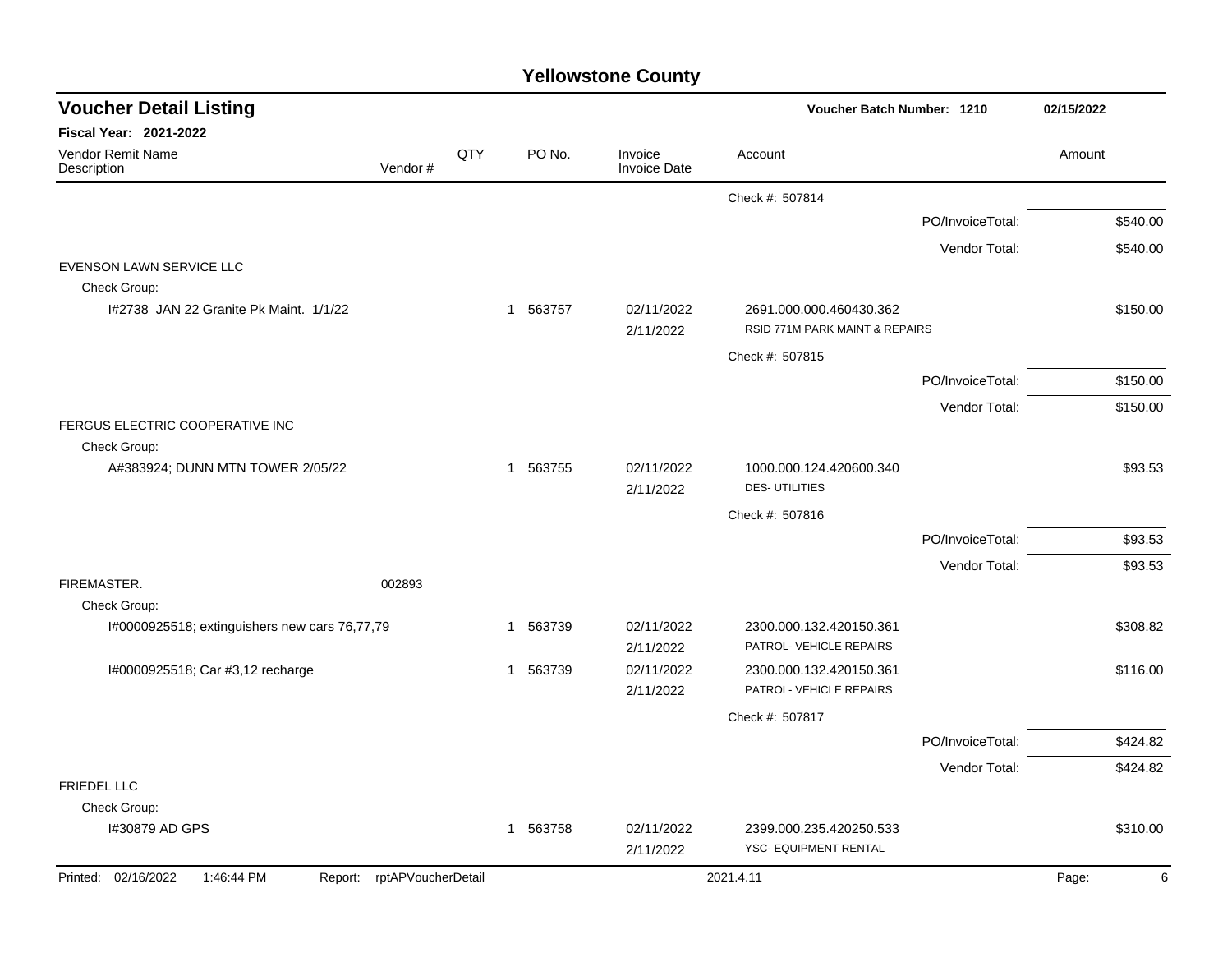| <b>Voucher Detail Listing</b>                 |                    |     |                        |                                | Voucher Batch Number: 1210                                |                  | 02/15/2022 |
|-----------------------------------------------|--------------------|-----|------------------------|--------------------------------|-----------------------------------------------------------|------------------|------------|
| <b>Fiscal Year: 2021-2022</b>                 |                    |     |                        |                                |                                                           |                  |            |
| Vendor Remit Name<br>Description              | Vendor#            | QTY | PO No.                 | Invoice<br><b>Invoice Date</b> | Account                                                   |                  | Amount     |
|                                               |                    |     |                        |                                | Check #: 507814                                           |                  |            |
|                                               |                    |     |                        |                                |                                                           | PO/InvoiceTotal: | \$540.00   |
|                                               |                    |     |                        |                                |                                                           | Vendor Total:    | \$540.00   |
| EVENSON LAWN SERVICE LLC                      |                    |     |                        |                                |                                                           |                  |            |
| Check Group:                                  |                    |     |                        |                                |                                                           |                  |            |
| 1#2738 JAN 22 Granite Pk Maint, 1/1/22        |                    |     | 563757<br>$\mathbf{1}$ | 02/11/2022<br>2/11/2022        | 2691.000.000.460430.362<br>RSID 771M PARK MAINT & REPAIRS |                  | \$150.00   |
|                                               |                    |     |                        |                                | Check #: 507815                                           |                  |            |
|                                               |                    |     |                        |                                |                                                           | PO/InvoiceTotal: | \$150.00   |
|                                               |                    |     |                        |                                |                                                           | Vendor Total:    | \$150.00   |
| FERGUS ELECTRIC COOPERATIVE INC               |                    |     |                        |                                |                                                           |                  |            |
| Check Group:                                  |                    |     |                        |                                |                                                           |                  |            |
| A#383924; DUNN MTN TOWER 2/05/22              |                    |     | 563755<br>$\mathbf{1}$ | 02/11/2022<br>2/11/2022        | 1000.000.124.420600.340<br><b>DES-UTILITIES</b>           |                  | \$93.53    |
|                                               |                    |     |                        |                                | Check #: 507816                                           |                  |            |
|                                               |                    |     |                        |                                |                                                           | PO/InvoiceTotal: | \$93.53    |
|                                               |                    |     |                        |                                |                                                           | Vendor Total:    | \$93.53    |
| FIREMASTER.                                   | 002893             |     |                        |                                |                                                           |                  |            |
| Check Group:                                  |                    |     |                        |                                |                                                           |                  |            |
| I#0000925518; extinguishers new cars 76,77,79 |                    |     | 563739<br>$\mathbf 1$  | 02/11/2022                     | 2300.000.132.420150.361                                   |                  | \$308.82   |
|                                               |                    |     |                        | 2/11/2022                      | PATROL- VEHICLE REPAIRS                                   |                  |            |
| I#0000925518; Car #3,12 recharge              |                    |     | 563739<br>$\mathbf 1$  | 02/11/2022                     | 2300.000.132.420150.361                                   |                  | \$116.00   |
|                                               |                    |     |                        | 2/11/2022                      | PATROL- VEHICLE REPAIRS                                   |                  |            |
|                                               |                    |     |                        |                                | Check #: 507817                                           |                  |            |
|                                               |                    |     |                        |                                |                                                           | PO/InvoiceTotal: | \$424.82   |
|                                               |                    |     |                        |                                |                                                           | Vendor Total:    | \$424.82   |
| <b>FRIEDEL LLC</b>                            |                    |     |                        |                                |                                                           |                  |            |
| Check Group:                                  |                    |     |                        |                                |                                                           |                  |            |
| I#30879 AD GPS                                |                    |     | 1 563758               | 02/11/2022                     | 2399.000.235.420250.533                                   |                  | \$310.00   |
|                                               |                    |     |                        | 2/11/2022                      | YSC- EQUIPMENT RENTAL                                     |                  |            |
| Printed: 02/16/2022<br>1:46:44 PM<br>Report:  | rptAPVoucherDetail |     |                        |                                | 2021.4.11                                                 |                  | Page:      |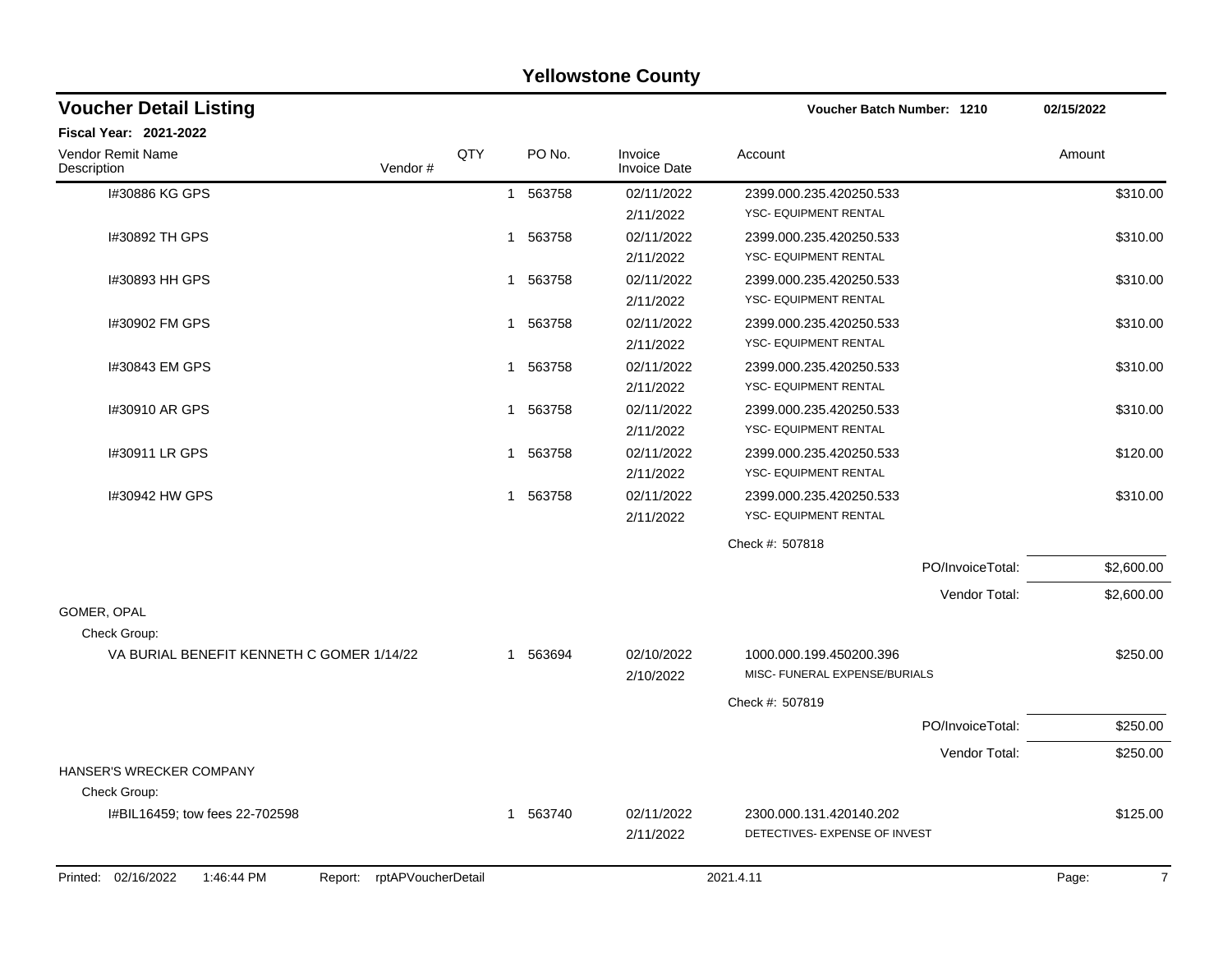|                                                                    |     |             | <b>Yellowstone County</b>      |                                                          |            |
|--------------------------------------------------------------------|-----|-------------|--------------------------------|----------------------------------------------------------|------------|
| <b>Voucher Detail Listing</b>                                      |     |             |                                | Voucher Batch Number: 1210                               | 02/15/2022 |
| Fiscal Year: 2021-2022                                             |     |             |                                |                                                          |            |
| Vendor Remit Name<br>Vendor#<br>Description                        | QTY | PO No.      | Invoice<br><b>Invoice Date</b> | Account                                                  | Amount     |
| I#30886 KG GPS                                                     |     | 1 563758    | 02/11/2022<br>2/11/2022        | 2399.000.235.420250.533<br>YSC- EQUIPMENT RENTAL         | \$310.00   |
| I#30892 TH GPS                                                     |     | 1 563758    | 02/11/2022<br>2/11/2022        | 2399.000.235.420250.533<br>YSC- EQUIPMENT RENTAL         | \$310.00   |
| 1#30893 HH GPS                                                     |     | 1 563758    | 02/11/2022<br>2/11/2022        | 2399.000.235.420250.533<br>YSC- EQUIPMENT RENTAL         | \$310.00   |
| I#30902 FM GPS                                                     |     | 1 563758    | 02/11/2022<br>2/11/2022        | 2399.000.235.420250.533<br>YSC- EQUIPMENT RENTAL         | \$310.00   |
| I#30843 EM GPS                                                     |     | 1 563758    | 02/11/2022<br>2/11/2022        | 2399.000.235.420250.533<br><b>YSC- EQUIPMENT RENTAL</b>  | \$310.00   |
| #30910 AR GPS                                                      | 1   | 563758      | 02/11/2022<br>2/11/2022        | 2399.000.235.420250.533<br>YSC- EQUIPMENT RENTAL         | \$310.00   |
| 1#30911 LR GPS                                                     |     | 563758<br>1 | 02/11/2022<br>2/11/2022        | 2399.000.235.420250.533<br>YSC- EQUIPMENT RENTAL         | \$120.00   |
| I#30942 HW GPS                                                     |     | 1 563758    | 02/11/2022<br>2/11/2022        | 2399.000.235.420250.533<br>YSC- EQUIPMENT RENTAL         | \$310.00   |
|                                                                    |     |             |                                | Check #: 507818                                          |            |
|                                                                    |     |             |                                | PO/InvoiceTotal:                                         | \$2,600.00 |
|                                                                    |     |             |                                | Vendor Total:                                            | \$2,600.00 |
| GOMER, OPAL<br>Check Group:                                        |     |             |                                |                                                          |            |
| VA BURIAL BENEFIT KENNETH C GOMER 1/14/22                          |     | 1 563694    | 02/10/2022<br>2/10/2022        | 1000.000.199.450200.396<br>MISC- FUNERAL EXPENSE/BURIALS | \$250.00   |
|                                                                    |     |             |                                | Check #: 507819                                          |            |
|                                                                    |     |             |                                | PO/InvoiceTotal:                                         | \$250.00   |
| HANSER'S WRECKER COMPANY<br>Check Group:                           |     |             |                                | Vendor Total:                                            | \$250.00   |
| I#BIL16459; tow fees 22-702598                                     |     | 1 563740    | 02/11/2022<br>2/11/2022        | 2300.000.131.420140.202<br>DETECTIVES- EXPENSE OF INVEST | \$125.00   |
| 1:46:44 PM<br>rptAPVoucherDetail<br>Printed: 02/16/2022<br>Report: |     |             |                                | 2021.4.11                                                | Page:<br>7 |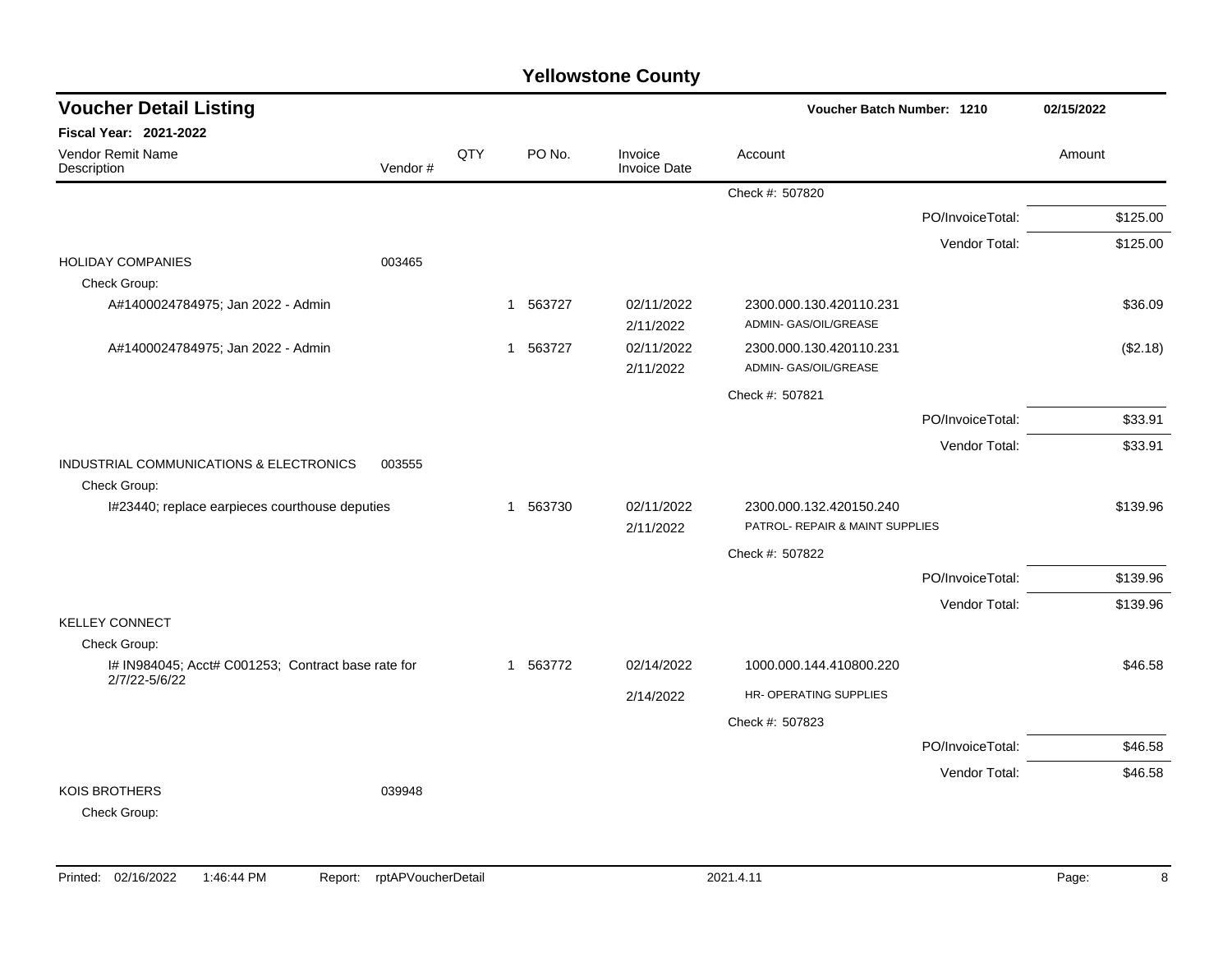## Check #: 507820 PO/InvoiceTotal: \$125.00 Vendor Total: \$125.00 HOLIDAY COMPANIES 003465 Check Group: A#1400024784975; Jan 2022 - Admin 1 1 563727 02/11/2022 2300.000.130.420110.231 \$36.09 2/11/2022 ADMIN- GAS/OIL/GREASE A#1400024784975; Jan 2022 - Admin 1 563727 1 563727 02/11/2022 2300.000.130.420110.231 (\$2.18) 2/11/2022 ADMIN- GAS/OIL/GREASE Check #: 507821 PO/InvoiceTotal: \$33.91 Vendor Total: \$33.91 INDUSTRIAL COMMUNICATIONS & ELECTRONICS 003555 Check Group: I#23440; replace earpieces courthouse deputies 1 563730 02/11/2022 2300.000.132.420150.240 \$139.96 2/11/2022 PATROL- REPAIR & MAINT SUPPLIES Check #: 507822 PO/InvoiceTotal: \$139.96 Vendor Total: \$139.96 KELLEY CONNECT Check Group: I# IN984045; Acct# C001253; Contract base rate for 2/7/22-5/6/22 1 563772 02/14/2022 1000.000.144.410800.220 \$46.58 2/14/2022 HR- OPERATING SUPPLIES Check #: 507823 PO/InvoiceTotal: \$46.58 Vendor Total: \$46.58 KOIS BROTHERS 039948 Check Group: **Voucher Batch Number: Yellowstone County** Vendor Remit Name **Description Voucher Detail Listing Fiscal Year: 2021-2022 1210 02/15/2022** PO No. Invoice Account Amount Amount Amount Amount Vendor # **QTY** Invoice Date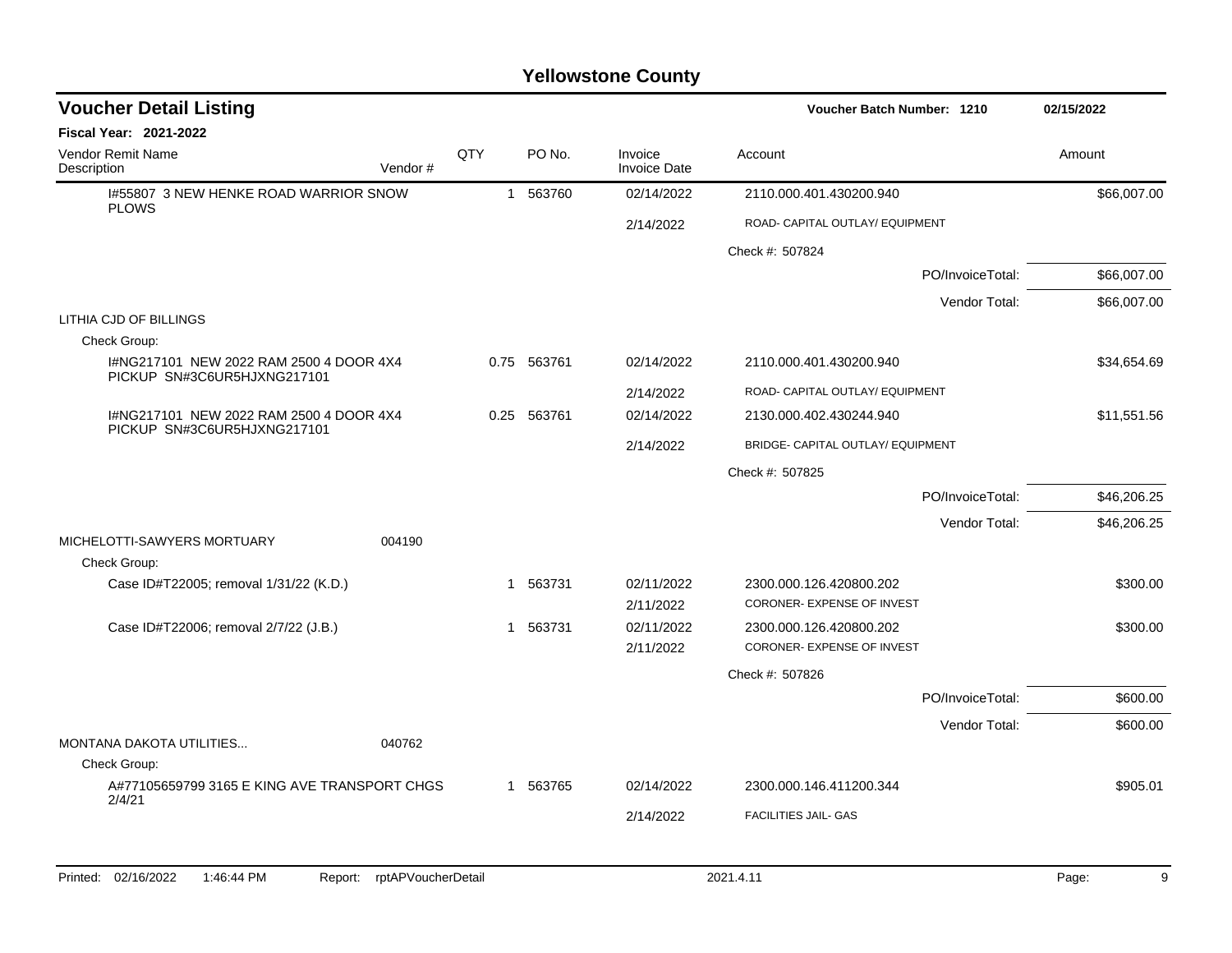| <b>Voucher Detail Listing</b>                                          |      |             |                                | Voucher Batch Number: 1210                            | 02/15/2022  |
|------------------------------------------------------------------------|------|-------------|--------------------------------|-------------------------------------------------------|-------------|
| Fiscal Year: 2021-2022                                                 |      |             |                                |                                                       |             |
| <b>Vendor Remit Name</b><br>Description<br>Vendor#                     | QTY  | PO No.      | Invoice<br><b>Invoice Date</b> | Account                                               | Amount      |
| 1#55807 3 NEW HENKE ROAD WARRIOR SNOW<br><b>PLOWS</b>                  |      | 1 563760    | 02/14/2022                     | 2110.000.401.430200.940                               | \$66,007.00 |
|                                                                        |      |             | 2/14/2022                      | ROAD- CAPITAL OUTLAY/ EQUIPMENT                       |             |
|                                                                        |      |             |                                | Check #: 507824                                       |             |
|                                                                        |      |             |                                | PO/InvoiceTotal:                                      | \$66,007.00 |
|                                                                        |      |             |                                | Vendor Total:                                         | \$66,007.00 |
| LITHIA CJD OF BILLINGS                                                 |      |             |                                |                                                       |             |
| Check Group:                                                           |      |             |                                |                                                       |             |
| I#NG217101 NEW 2022 RAM 2500 4 DOOR 4X4<br>PICKUP SN#3C6UR5HJXNG217101 |      | 0.75 563761 | 02/14/2022                     | 2110.000.401.430200.940                               | \$34,654.69 |
|                                                                        |      |             | 2/14/2022                      | ROAD- CAPITAL OUTLAY/ EQUIPMENT                       |             |
| I#NG217101 NEW 2022 RAM 2500 4 DOOR 4X4<br>PICKUP SN#3C6UR5HJXNG217101 | 0.25 | 563761      | 02/14/2022                     | 2130.000.402.430244.940                               | \$11,551.56 |
|                                                                        |      |             | 2/14/2022                      | BRIDGE- CAPITAL OUTLAY/ EQUIPMENT                     |             |
|                                                                        |      |             |                                | Check #: 507825                                       |             |
|                                                                        |      |             |                                | PO/InvoiceTotal:                                      | \$46,206.25 |
|                                                                        |      |             |                                | Vendor Total:                                         | \$46,206.25 |
| MICHELOTTI-SAWYERS MORTUARY<br>004190                                  |      |             |                                |                                                       |             |
| Check Group:                                                           |      |             |                                |                                                       |             |
| Case ID#T22005; removal 1/31/22 (K.D.)                                 |      | 1 563731    | 02/11/2022                     | 2300.000.126.420800.202                               | \$300.00    |
|                                                                        |      |             | 2/11/2022                      | CORONER- EXPENSE OF INVEST                            |             |
| Case ID#T22006; removal 2/7/22 (J.B.)                                  | 1    | 563731      | 02/11/2022<br>2/11/2022        | 2300.000.126.420800.202<br>CORONER- EXPENSE OF INVEST | \$300.00    |
|                                                                        |      |             |                                | Check #: 507826                                       |             |
|                                                                        |      |             |                                | PO/InvoiceTotal:                                      | \$600.00    |
|                                                                        |      |             |                                |                                                       |             |
| MONTANA DAKOTA UTILITIES<br>040762                                     |      |             |                                | Vendor Total:                                         | \$600.00    |
| Check Group:                                                           |      |             |                                |                                                       |             |
| A#77105659799 3165 E KING AVE TRANSPORT CHGS                           | 1    | 563765      | 02/14/2022                     | 2300.000.146.411200.344                               | \$905.01    |
| 2/4/21                                                                 |      |             | 2/14/2022                      | <b>FACILITIES JAIL- GAS</b>                           |             |
|                                                                        |      |             |                                |                                                       |             |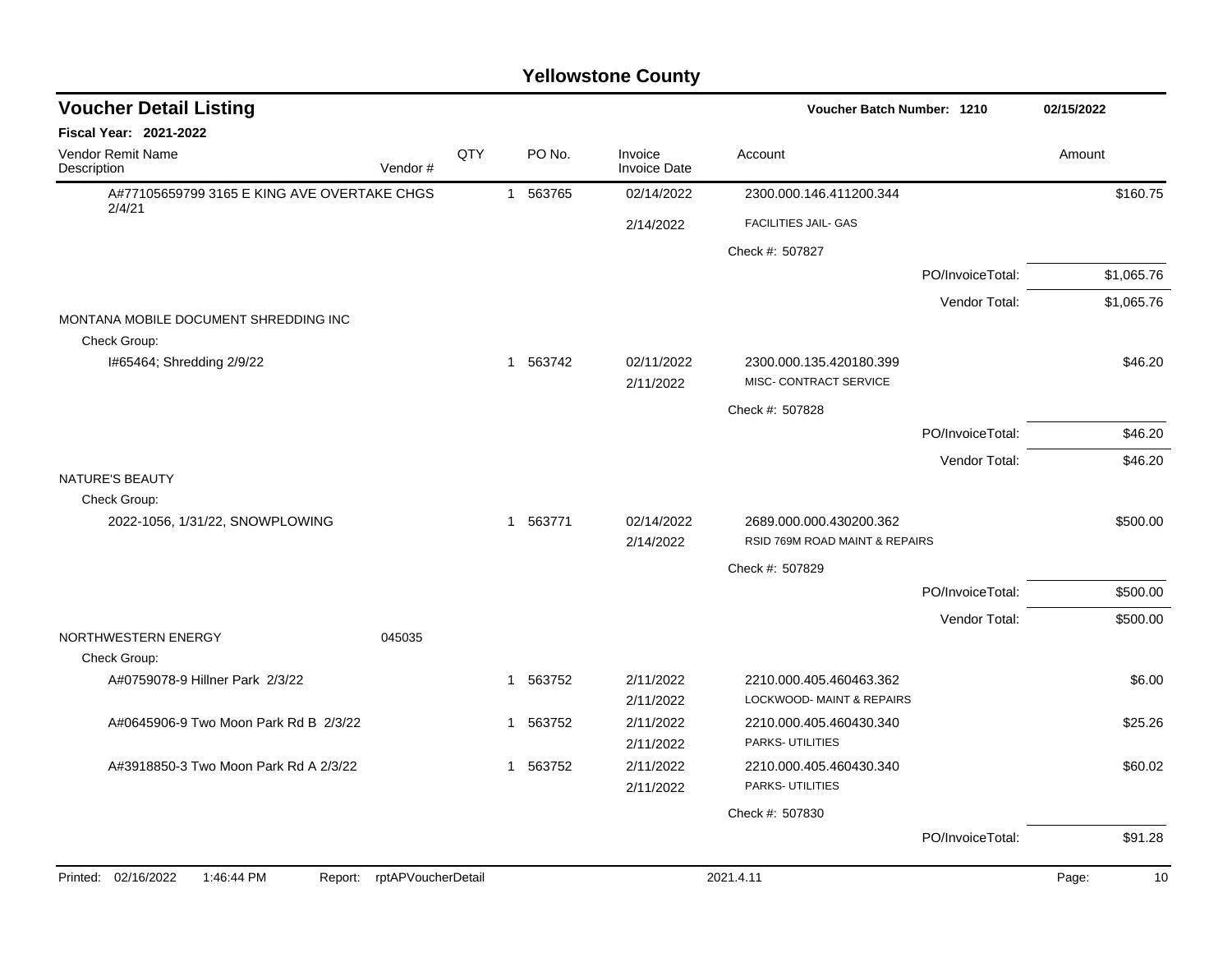| <b>Voucher Detail Listing</b>                         |                    |              |          |                                | Voucher Batch Number: 1210                                |                  | 02/15/2022  |
|-------------------------------------------------------|--------------------|--------------|----------|--------------------------------|-----------------------------------------------------------|------------------|-------------|
| <b>Fiscal Year: 2021-2022</b>                         |                    |              |          |                                |                                                           |                  |             |
| Vendor Remit Name<br>Description                      | Vendor#            | QTY          | PO No.   | Invoice<br><b>Invoice Date</b> | Account                                                   |                  | Amount      |
| A#77105659799 3165 E KING AVE OVERTAKE CHGS<br>2/4/21 |                    |              | 1 563765 | 02/14/2022                     | 2300.000.146.411200.344                                   |                  | \$160.75    |
|                                                       |                    |              |          | 2/14/2022                      | FACILITIES JAIL- GAS                                      |                  |             |
|                                                       |                    |              |          |                                | Check #: 507827                                           |                  |             |
|                                                       |                    |              |          |                                |                                                           | PO/InvoiceTotal: | \$1,065.76  |
|                                                       |                    |              |          |                                |                                                           | Vendor Total:    | \$1,065.76  |
| MONTANA MOBILE DOCUMENT SHREDDING INC                 |                    |              |          |                                |                                                           |                  |             |
| Check Group:                                          |                    |              |          |                                |                                                           |                  |             |
| I#65464; Shredding 2/9/22                             |                    |              | 1 563742 | 02/11/2022<br>2/11/2022        | 2300.000.135.420180.399<br>MISC- CONTRACT SERVICE         |                  | \$46.20     |
|                                                       |                    |              |          |                                | Check #: 507828                                           |                  |             |
|                                                       |                    |              |          |                                |                                                           | PO/InvoiceTotal: | \$46.20     |
|                                                       |                    |              |          |                                |                                                           | Vendor Total:    | \$46.20     |
| <b>NATURE'S BEAUTY</b>                                |                    |              |          |                                |                                                           |                  |             |
| Check Group:                                          |                    |              |          |                                |                                                           |                  |             |
| 2022-1056, 1/31/22, SNOWPLOWING                       |                    | $\mathbf{1}$ | 563771   | 02/14/2022<br>2/14/2022        | 2689.000.000.430200.362<br>RSID 769M ROAD MAINT & REPAIRS |                  | \$500.00    |
|                                                       |                    |              |          |                                | Check #: 507829                                           |                  |             |
|                                                       |                    |              |          |                                |                                                           | PO/InvoiceTotal: | \$500.00    |
|                                                       |                    |              |          |                                |                                                           | Vendor Total:    | \$500.00    |
| NORTHWESTERN ENERGY                                   | 045035             |              |          |                                |                                                           |                  |             |
| Check Group:                                          |                    |              |          |                                |                                                           |                  |             |
| A#0759078-9 Hillner Park 2/3/22                       |                    | $\mathbf{1}$ | 563752   | 2/11/2022<br>2/11/2022         | 2210.000.405.460463.362<br>LOCKWOOD- MAINT & REPAIRS      |                  | \$6.00      |
| A#0645906-9 Two Moon Park Rd B 2/3/22                 |                    |              | 1 563752 | 2/11/2022                      | 2210.000.405.460430.340                                   |                  | \$25.26     |
|                                                       |                    |              |          | 2/11/2022                      | PARKS- UTILITIES                                          |                  |             |
| A#3918850-3 Two Moon Park Rd A 2/3/22                 |                    |              | 1 563752 | 2/11/2022                      | 2210.000.405.460430.340                                   |                  | \$60.02     |
|                                                       |                    |              |          | 2/11/2022                      | PARKS- UTILITIES                                          |                  |             |
|                                                       |                    |              |          |                                | Check #: 507830                                           |                  |             |
|                                                       |                    |              |          |                                |                                                           | PO/InvoiceTotal: | \$91.28     |
| Printed: 02/16/2022<br>1:46:44 PM<br>Report:          | rptAPVoucherDetail |              |          |                                | 2021.4.11                                                 |                  | Page:<br>10 |
|                                                       |                    |              |          |                                |                                                           |                  |             |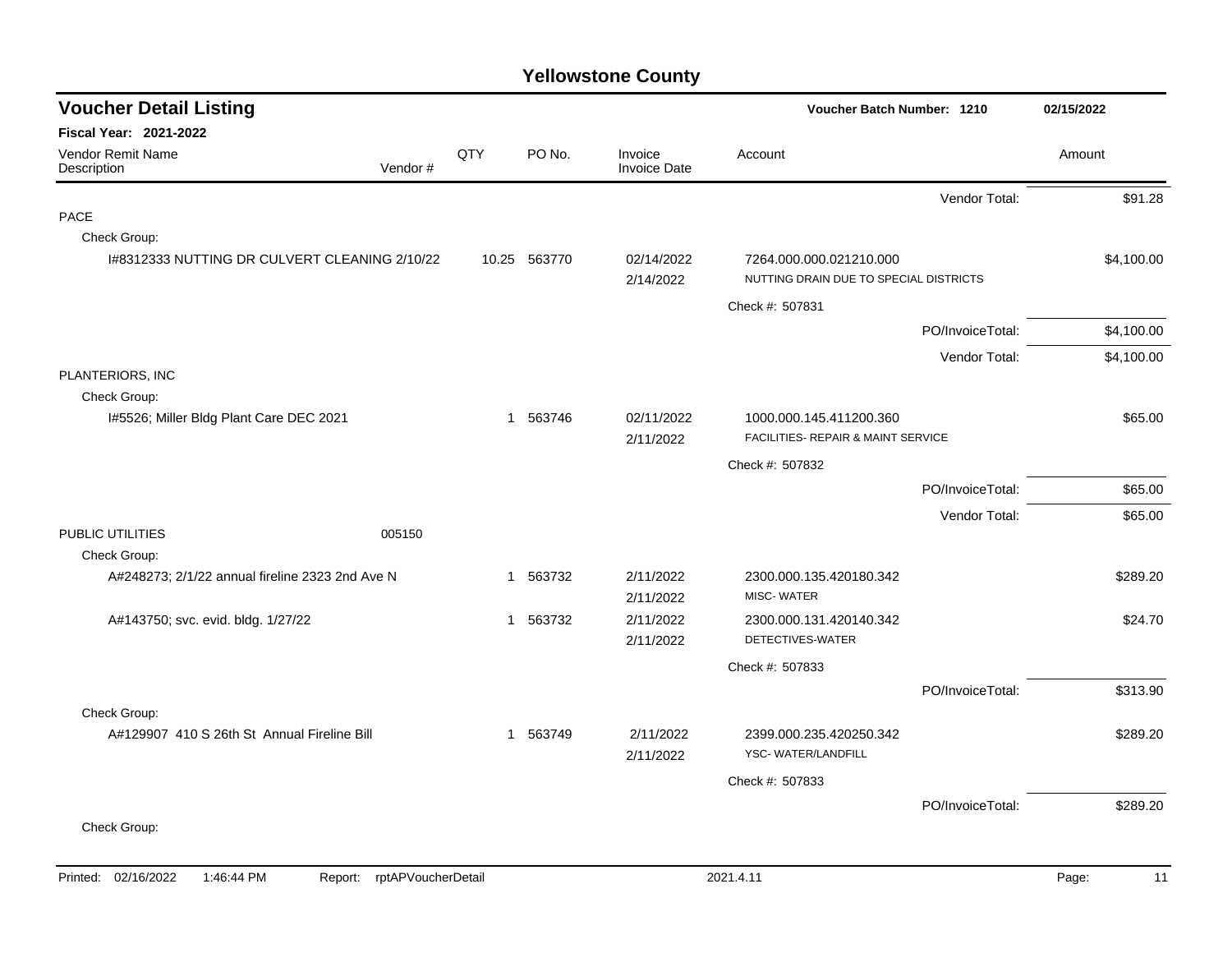| <b>Voucher Detail Listing</b>                   |     |              |                                | Voucher Batch Number: 1210                                        | 02/15/2022       |            |
|-------------------------------------------------|-----|--------------|--------------------------------|-------------------------------------------------------------------|------------------|------------|
| <b>Fiscal Year: 2021-2022</b>                   |     |              |                                |                                                                   |                  |            |
| Vendor Remit Name<br>Vendor#<br>Description     | QTY | PO No.       | Invoice<br><b>Invoice Date</b> | Account                                                           |                  | Amount     |
|                                                 |     |              |                                |                                                                   | Vendor Total:    | \$91.28    |
| <b>PACE</b>                                     |     |              |                                |                                                                   |                  |            |
| Check Group:                                    |     |              |                                |                                                                   |                  |            |
| I#8312333 NUTTING DR CULVERT CLEANING 2/10/22   |     | 10.25 563770 | 02/14/2022<br>2/14/2022        | 7264.000.000.021210.000<br>NUTTING DRAIN DUE TO SPECIAL DISTRICTS |                  | \$4,100.00 |
|                                                 |     |              |                                | Check #: 507831                                                   |                  |            |
|                                                 |     |              |                                |                                                                   | PO/InvoiceTotal: | \$4,100.00 |
|                                                 |     |              |                                |                                                                   | Vendor Total:    | \$4,100.00 |
| PLANTERIORS, INC                                |     |              |                                |                                                                   |                  |            |
| Check Group:                                    |     |              |                                |                                                                   |                  |            |
| 1#5526; Miller Bldg Plant Care DEC 2021         |     | 1 563746     | 02/11/2022                     | 1000.000.145.411200.360                                           |                  | \$65.00    |
|                                                 |     |              | 2/11/2022                      | FACILITIES- REPAIR & MAINT SERVICE                                |                  |            |
|                                                 |     |              |                                | Check #: 507832                                                   |                  |            |
|                                                 |     |              |                                |                                                                   | PO/InvoiceTotal: | \$65.00    |
|                                                 |     |              |                                |                                                                   | Vendor Total:    | \$65.00    |
| PUBLIC UTILITIES<br>005150                      |     |              |                                |                                                                   |                  |            |
| Check Group:                                    |     |              |                                |                                                                   |                  |            |
| A#248273; 2/1/22 annual fireline 2323 2nd Ave N |     | 1 563732     | 2/11/2022<br>2/11/2022         | 2300.000.135.420180.342<br><b>MISC-WATER</b>                      |                  | \$289.20   |
| A#143750; svc. evid. bldg. 1/27/22              |     | 1 563732     | 2/11/2022                      | 2300.000.131.420140.342                                           |                  | \$24.70    |
|                                                 |     |              | 2/11/2022                      | DETECTIVES-WATER                                                  |                  |            |
|                                                 |     |              |                                | Check #: 507833                                                   |                  |            |
|                                                 |     |              |                                |                                                                   | PO/InvoiceTotal: | \$313.90   |
| Check Group:                                    |     |              |                                |                                                                   |                  |            |
| A#129907 410 S 26th St Annual Fireline Bill     |     | 1 563749     | 2/11/2022                      | 2399.000.235.420250.342                                           |                  | \$289.20   |
|                                                 |     |              | 2/11/2022                      | YSC-WATER/LANDFILL                                                |                  |            |
|                                                 |     |              |                                | Check #: 507833                                                   |                  |            |
|                                                 |     |              |                                |                                                                   | PO/InvoiceTotal: | \$289.20   |
| Check Group:                                    |     |              |                                |                                                                   |                  |            |
|                                                 |     |              |                                |                                                                   |                  |            |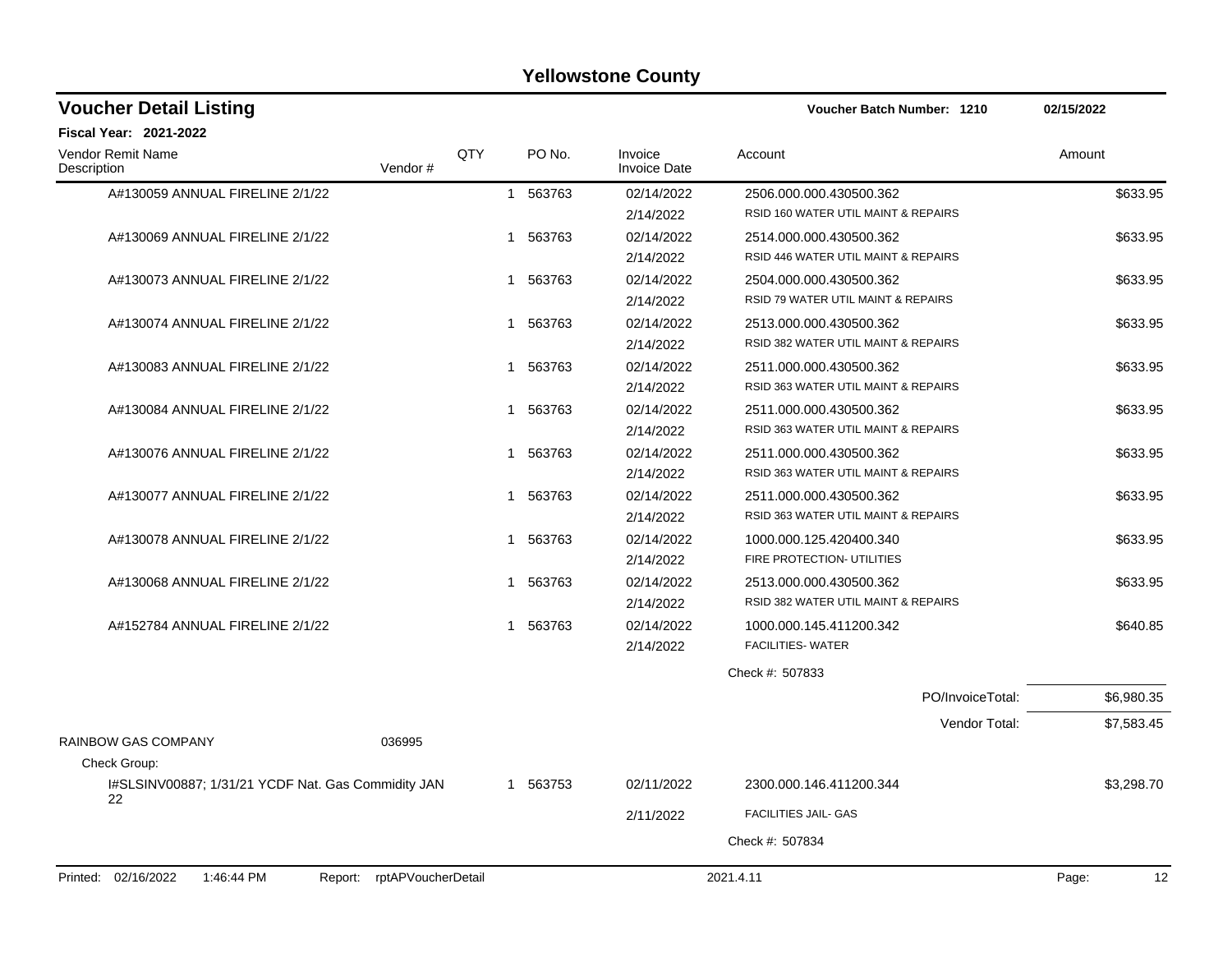| <b>Voucher Detail Listing</b>                                      |     |              |                                | Voucher Batch Number: 1210          | 02/15/2022  |
|--------------------------------------------------------------------|-----|--------------|--------------------------------|-------------------------------------|-------------|
| <b>Fiscal Year: 2021-2022</b>                                      |     |              |                                |                                     |             |
| <b>Vendor Remit Name</b><br>Description<br>Vendor#                 | QTY | PO No.       | Invoice<br><b>Invoice Date</b> | Account                             | Amount      |
| A#130059 ANNUAL FIRELINE 2/1/22                                    |     | 1 563763     | 02/14/2022                     | 2506.000.000.430500.362             | \$633.95    |
|                                                                    |     |              | 2/14/2022                      | RSID 160 WATER UTIL MAINT & REPAIRS |             |
| A#130069 ANNUAL FIRELINE 2/1/22                                    |     | 563763<br>1  | 02/14/2022                     | 2514.000.000.430500.362             | \$633.95    |
|                                                                    |     |              | 2/14/2022                      | RSID 446 WATER UTIL MAINT & REPAIRS |             |
| A#130073 ANNUAL FIRELINE 2/1/22                                    |     | 1 563763     | 02/14/2022                     | 2504.000.000.430500.362             | \$633.95    |
|                                                                    |     |              | 2/14/2022                      | RSID 79 WATER UTIL MAINT & REPAIRS  |             |
| A#130074 ANNUAL FIRELINE 2/1/22                                    |     | 1 563763     | 02/14/2022                     | 2513.000.000.430500.362             | \$633.95    |
|                                                                    |     |              | 2/14/2022                      | RSID 382 WATER UTIL MAINT & REPAIRS |             |
| A#130083 ANNUAL FIRELINE 2/1/22                                    |     | 1 563763     | 02/14/2022                     | 2511.000.000.430500.362             | \$633.95    |
|                                                                    |     |              | 2/14/2022                      | RSID 363 WATER UTIL MAINT & REPAIRS |             |
| A#130084 ANNUAL FIRELINE 2/1/22                                    |     | 1 563763     | 02/14/2022                     | 2511.000.000.430500.362             | \$633.95    |
|                                                                    |     |              | 2/14/2022                      | RSID 363 WATER UTIL MAINT & REPAIRS |             |
| A#130076 ANNUAL FIRELINE 2/1/22                                    |     | 1 563763     | 02/14/2022                     | 2511.000.000.430500.362             | \$633.95    |
|                                                                    |     |              | 2/14/2022                      | RSID 363 WATER UTIL MAINT & REPAIRS |             |
| A#130077 ANNUAL FIRELINE 2/1/22                                    |     | 1 563763     | 02/14/2022                     | 2511.000.000.430500.362             | \$633.95    |
|                                                                    |     |              | 2/14/2022                      | RSID 363 WATER UTIL MAINT & REPAIRS |             |
| A#130078 ANNUAL FIRELINE 2/1/22                                    |     | 1 563763     | 02/14/2022                     | 1000.000.125.420400.340             | \$633.95    |
|                                                                    |     |              | 2/14/2022                      | FIRE PROTECTION- UTILITIES          |             |
| A#130068 ANNUAL FIRELINE 2/1/22                                    |     | 563763<br>1. | 02/14/2022                     | 2513.000.000.430500.362             | \$633.95    |
|                                                                    |     |              | 2/14/2022                      | RSID 382 WATER UTIL MAINT & REPAIRS |             |
| A#152784 ANNUAL FIRELINE 2/1/22                                    |     | 563763<br>1. | 02/14/2022                     | 1000.000.145.411200.342             | \$640.85    |
|                                                                    |     |              | 2/14/2022                      | <b>FACILITIES- WATER</b>            |             |
|                                                                    |     |              |                                | Check #: 507833                     |             |
|                                                                    |     |              |                                | PO/InvoiceTotal:                    | \$6,980.35  |
|                                                                    |     |              |                                | Vendor Total:                       | \$7,583.45  |
| RAINBOW GAS COMPANY<br>036995                                      |     |              |                                |                                     |             |
| Check Group:                                                       |     |              |                                |                                     |             |
| I#SLSINV00887; 1/31/21 YCDF Nat. Gas Commidity JAN<br>22           |     | 1 563753     | 02/11/2022                     | 2300.000.146.411200.344             | \$3,298.70  |
|                                                                    |     |              | 2/11/2022                      | <b>FACILITIES JAIL- GAS</b>         |             |
|                                                                    |     |              |                                | Check #: 507834                     |             |
|                                                                    |     |              |                                |                                     |             |
| Printed: 02/16/2022<br>rptAPVoucherDetail<br>1:46:44 PM<br>Report: |     |              |                                | 2021.4.11                           | Page:<br>12 |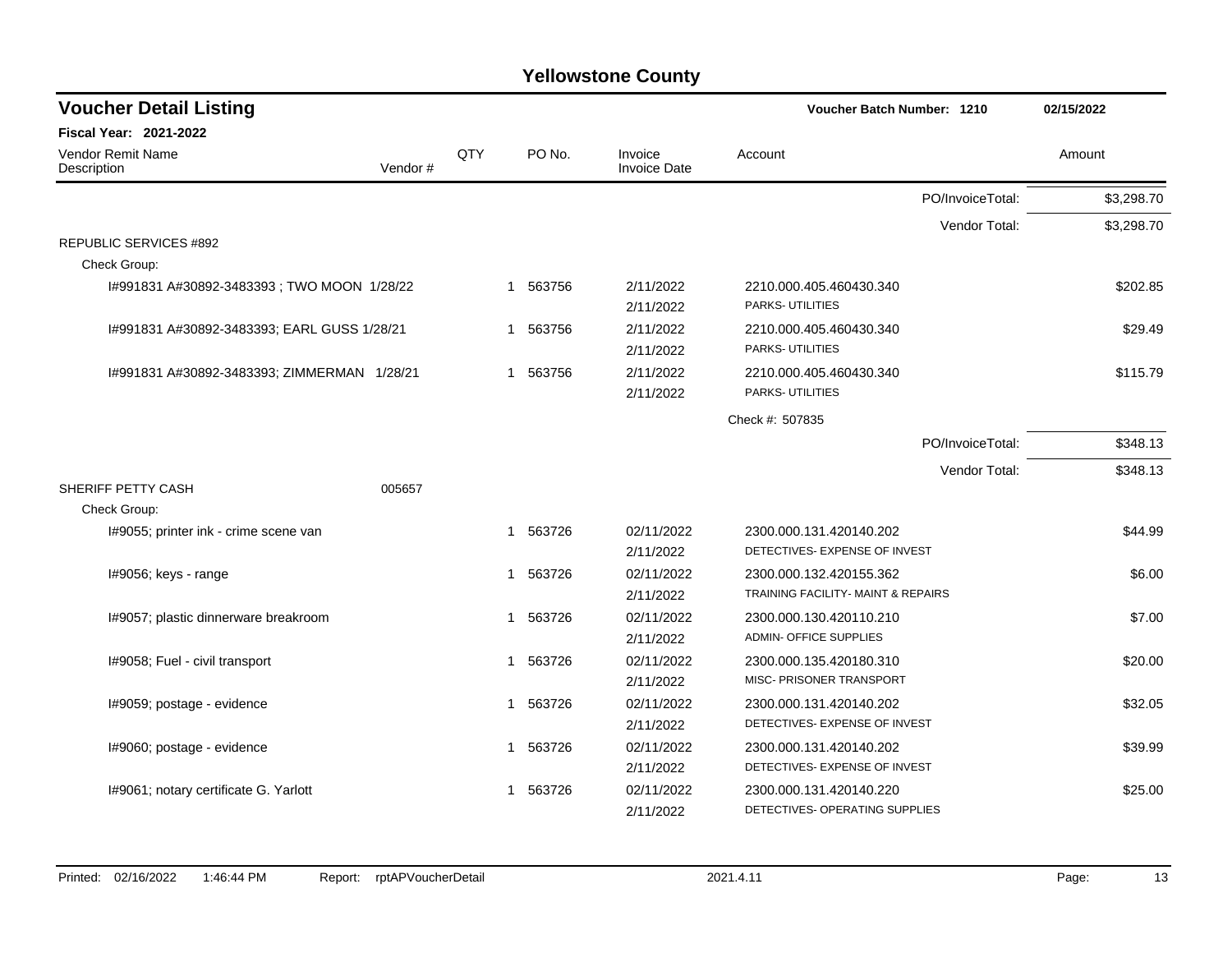| <b>Voucher Detail Listing</b>               |         |     |                        |                                | <b>Voucher Batch Number: 1210</b>           | 02/15/2022 |
|---------------------------------------------|---------|-----|------------------------|--------------------------------|---------------------------------------------|------------|
| <b>Fiscal Year: 2021-2022</b>               |         |     |                        |                                |                                             |            |
| Vendor Remit Name<br>Description            | Vendor# | QTY | PO No.                 | Invoice<br><b>Invoice Date</b> | Account                                     | Amount     |
|                                             |         |     |                        |                                | PO/InvoiceTotal:                            | \$3,298.70 |
|                                             |         |     |                        |                                | Vendor Total:                               | \$3,298.70 |
| <b>REPUBLIC SERVICES #892</b>               |         |     |                        |                                |                                             |            |
| Check Group:                                |         |     |                        |                                |                                             |            |
| I#991831 A#30892-3483393; TWO MOON 1/28/22  |         |     | 563756<br>$\mathbf 1$  | 2/11/2022<br>2/11/2022         | 2210.000.405.460430.340<br>PARKS- UTILITIES | \$202.85   |
| I#991831 A#30892-3483393; EARL GUSS 1/28/21 |         |     | 563756<br>-1           | 2/11/2022                      | 2210.000.405.460430.340                     | \$29.49    |
|                                             |         |     |                        | 2/11/2022                      | PARKS- UTILITIES                            |            |
| I#991831 A#30892-3483393; ZIMMERMAN 1/28/21 |         |     | 563756<br>$\mathbf 1$  | 2/11/2022                      | 2210.000.405.460430.340                     | \$115.79   |
|                                             |         |     |                        | 2/11/2022                      | PARKS- UTILITIES                            |            |
|                                             |         |     |                        |                                | Check #: 507835                             |            |
|                                             |         |     |                        |                                | PO/InvoiceTotal:                            | \$348.13   |
|                                             |         |     |                        |                                | Vendor Total:                               | \$348.13   |
| SHERIFF PETTY CASH                          | 005657  |     |                        |                                |                                             |            |
| Check Group:                                |         |     |                        |                                |                                             |            |
| I#9055; printer ink - crime scene van       |         |     | 563726<br>$\mathbf{1}$ | 02/11/2022                     | 2300.000.131.420140.202                     | \$44.99    |
|                                             |         |     |                        | 2/11/2022                      | DETECTIVES- EXPENSE OF INVEST               |            |
| I#9056; keys - range                        |         |     | 563726<br>$\mathbf 1$  | 02/11/2022                     | 2300.000.132.420155.362                     | \$6.00     |
|                                             |         |     |                        | 2/11/2022                      | TRAINING FACILITY- MAINT & REPAIRS          |            |
| 1#9057; plastic dinnerware breakroom        |         |     | 563726<br>-1           | 02/11/2022                     | 2300.000.130.420110.210                     | \$7.00     |
|                                             |         |     |                        | 2/11/2022                      | <b>ADMIN- OFFICE SUPPLIES</b>               |            |
| I#9058; Fuel - civil transport              |         |     | 1 563726               | 02/11/2022                     | 2300.000.135.420180.310                     | \$20.00    |
|                                             |         |     |                        | 2/11/2022                      | MISC- PRISONER TRANSPORT                    |            |
| I#9059; postage - evidence                  |         |     | 563726<br>$\mathbf 1$  | 02/11/2022                     | 2300.000.131.420140.202                     | \$32.05    |
|                                             |         |     |                        | 2/11/2022                      | DETECTIVES- EXPENSE OF INVEST               |            |
| I#9060; postage - evidence                  |         |     | 1 563726               | 02/11/2022                     | 2300.000.131.420140.202                     | \$39.99    |
|                                             |         |     |                        | 2/11/2022                      | DETECTIVES- EXPENSE OF INVEST               |            |
| I#9061; notary certificate G. Yarlott       |         |     | 563726<br>-1           | 02/11/2022                     | 2300.000.131.420140.220                     | \$25.00    |
|                                             |         |     |                        | 2/11/2022                      | DETECTIVES- OPERATING SUPPLIES              |            |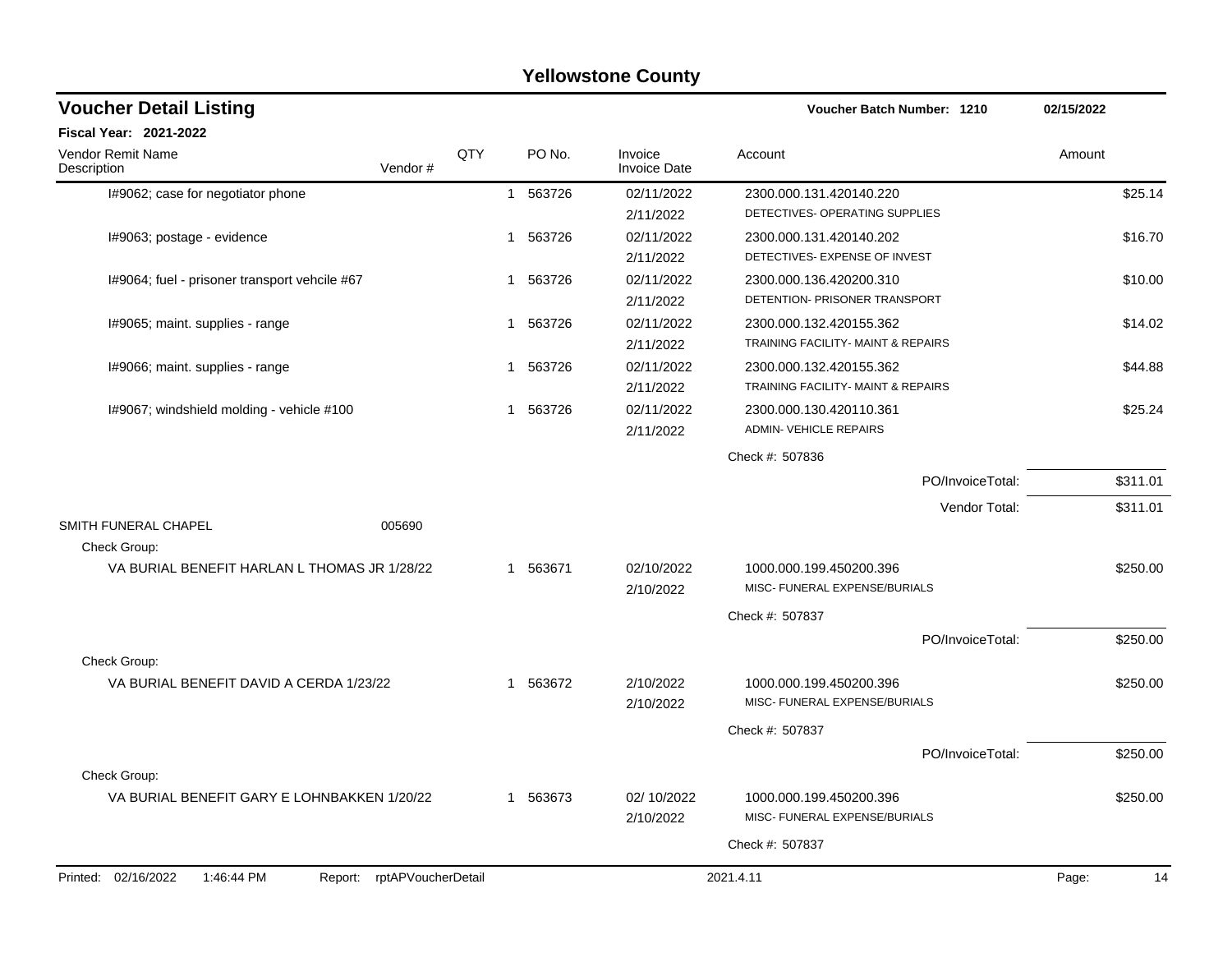| QTY<br>PO No.<br>Invoice<br>Amount<br>Account<br><b>Invoice Date</b><br>Vendor#<br>1 563726<br>02/11/2022<br>2300.000.131.420140.220<br>\$25.14<br>I#9062; case for negotiator phone<br>DETECTIVES- OPERATING SUPPLIES<br>2/11/2022<br>1 563726<br>02/11/2022<br>I#9063; postage - evidence<br>2300.000.131.420140.202<br>\$16.70<br>DETECTIVES- EXPENSE OF INVEST<br>2/11/2022<br>02/11/2022<br>I#9064; fuel - prisoner transport vehcile #67<br>563726<br>2300.000.136.420200.310<br>\$10.00<br>$\mathbf 1$<br>DETENTION- PRISONER TRANSPORT<br>2/11/2022<br>02/11/2022<br>I#9065; maint. supplies - range<br>563726<br>2300.000.132.420155.362<br>\$14.02<br>1<br>TRAINING FACILITY- MAINT & REPAIRS<br>2/11/2022<br>02/11/2022<br>I#9066; maint. supplies - range<br>563726<br>2300.000.132.420155.362<br>\$44.88<br>1<br>TRAINING FACILITY- MAINT & REPAIRS<br>2/11/2022<br>I#9067; windshield molding - vehicle #100<br>563726<br>02/11/2022<br>\$25.24<br>2300.000.130.420110.361<br>1<br><b>ADMIN- VEHICLE REPAIRS</b><br>2/11/2022<br>Check #: 507836<br>PO/InvoiceTotal:<br>\$311.01<br>\$311.01<br>Vendor Total:<br>SMITH FUNERAL CHAPEL<br>005690<br>Check Group:<br>VA BURIAL BENEFIT HARLAN L THOMAS JR 1/28/22<br>1 563671<br>\$250.00<br>02/10/2022<br>1000.000.199.450200.396<br>MISC- FUNERAL EXPENSE/BURIALS<br>2/10/2022<br>Check #: 507837<br>\$250.00<br>PO/InvoiceTotal:<br>Check Group:<br>1 563672<br>2/10/2022<br>\$250.00<br>VA BURIAL BENEFIT DAVID A CERDA 1/23/22<br>1000.000.199.450200.396<br>MISC- FUNERAL EXPENSE/BURIALS<br>2/10/2022<br>Check #: 507837<br>PO/InvoiceTotal:<br>\$250.00<br>Check Group:<br>VA BURIAL BENEFIT GARY E LOHNBAKKEN 1/20/22<br>1 563673<br>02/10/2022<br>1000.000.199.450200.396<br>\$250.00<br>MISC- FUNERAL EXPENSE/BURIALS<br>2/10/2022<br>Check #: 507837 | <b>Voucher Detail Listing</b>           |  |  | Voucher Batch Number: 1210 | 02/15/2022 |  |
|------------------------------------------------------------------------------------------------------------------------------------------------------------------------------------------------------------------------------------------------------------------------------------------------------------------------------------------------------------------------------------------------------------------------------------------------------------------------------------------------------------------------------------------------------------------------------------------------------------------------------------------------------------------------------------------------------------------------------------------------------------------------------------------------------------------------------------------------------------------------------------------------------------------------------------------------------------------------------------------------------------------------------------------------------------------------------------------------------------------------------------------------------------------------------------------------------------------------------------------------------------------------------------------------------------------------------------------------------------------------------------------------------------------------------------------------------------------------------------------------------------------------------------------------------------------------------------------------------------------------------------------------------------------------------------------------------------------------------------------------------------------------------------------------------------------------------|-----------------------------------------|--|--|----------------------------|------------|--|
|                                                                                                                                                                                                                                                                                                                                                                                                                                                                                                                                                                                                                                                                                                                                                                                                                                                                                                                                                                                                                                                                                                                                                                                                                                                                                                                                                                                                                                                                                                                                                                                                                                                                                                                                                                                                                              | <b>Fiscal Year: 2021-2022</b>           |  |  |                            |            |  |
|                                                                                                                                                                                                                                                                                                                                                                                                                                                                                                                                                                                                                                                                                                                                                                                                                                                                                                                                                                                                                                                                                                                                                                                                                                                                                                                                                                                                                                                                                                                                                                                                                                                                                                                                                                                                                              | <b>Vendor Remit Name</b><br>Description |  |  |                            |            |  |
|                                                                                                                                                                                                                                                                                                                                                                                                                                                                                                                                                                                                                                                                                                                                                                                                                                                                                                                                                                                                                                                                                                                                                                                                                                                                                                                                                                                                                                                                                                                                                                                                                                                                                                                                                                                                                              |                                         |  |  |                            |            |  |
|                                                                                                                                                                                                                                                                                                                                                                                                                                                                                                                                                                                                                                                                                                                                                                                                                                                                                                                                                                                                                                                                                                                                                                                                                                                                                                                                                                                                                                                                                                                                                                                                                                                                                                                                                                                                                              |                                         |  |  |                            |            |  |
|                                                                                                                                                                                                                                                                                                                                                                                                                                                                                                                                                                                                                                                                                                                                                                                                                                                                                                                                                                                                                                                                                                                                                                                                                                                                                                                                                                                                                                                                                                                                                                                                                                                                                                                                                                                                                              |                                         |  |  |                            |            |  |
|                                                                                                                                                                                                                                                                                                                                                                                                                                                                                                                                                                                                                                                                                                                                                                                                                                                                                                                                                                                                                                                                                                                                                                                                                                                                                                                                                                                                                                                                                                                                                                                                                                                                                                                                                                                                                              |                                         |  |  |                            |            |  |
|                                                                                                                                                                                                                                                                                                                                                                                                                                                                                                                                                                                                                                                                                                                                                                                                                                                                                                                                                                                                                                                                                                                                                                                                                                                                                                                                                                                                                                                                                                                                                                                                                                                                                                                                                                                                                              |                                         |  |  |                            |            |  |
|                                                                                                                                                                                                                                                                                                                                                                                                                                                                                                                                                                                                                                                                                                                                                                                                                                                                                                                                                                                                                                                                                                                                                                                                                                                                                                                                                                                                                                                                                                                                                                                                                                                                                                                                                                                                                              |                                         |  |  |                            |            |  |
|                                                                                                                                                                                                                                                                                                                                                                                                                                                                                                                                                                                                                                                                                                                                                                                                                                                                                                                                                                                                                                                                                                                                                                                                                                                                                                                                                                                                                                                                                                                                                                                                                                                                                                                                                                                                                              |                                         |  |  |                            |            |  |
|                                                                                                                                                                                                                                                                                                                                                                                                                                                                                                                                                                                                                                                                                                                                                                                                                                                                                                                                                                                                                                                                                                                                                                                                                                                                                                                                                                                                                                                                                                                                                                                                                                                                                                                                                                                                                              |                                         |  |  |                            |            |  |
|                                                                                                                                                                                                                                                                                                                                                                                                                                                                                                                                                                                                                                                                                                                                                                                                                                                                                                                                                                                                                                                                                                                                                                                                                                                                                                                                                                                                                                                                                                                                                                                                                                                                                                                                                                                                                              |                                         |  |  |                            |            |  |
|                                                                                                                                                                                                                                                                                                                                                                                                                                                                                                                                                                                                                                                                                                                                                                                                                                                                                                                                                                                                                                                                                                                                                                                                                                                                                                                                                                                                                                                                                                                                                                                                                                                                                                                                                                                                                              |                                         |  |  |                            |            |  |
|                                                                                                                                                                                                                                                                                                                                                                                                                                                                                                                                                                                                                                                                                                                                                                                                                                                                                                                                                                                                                                                                                                                                                                                                                                                                                                                                                                                                                                                                                                                                                                                                                                                                                                                                                                                                                              |                                         |  |  |                            |            |  |
|                                                                                                                                                                                                                                                                                                                                                                                                                                                                                                                                                                                                                                                                                                                                                                                                                                                                                                                                                                                                                                                                                                                                                                                                                                                                                                                                                                                                                                                                                                                                                                                                                                                                                                                                                                                                                              |                                         |  |  |                            |            |  |
|                                                                                                                                                                                                                                                                                                                                                                                                                                                                                                                                                                                                                                                                                                                                                                                                                                                                                                                                                                                                                                                                                                                                                                                                                                                                                                                                                                                                                                                                                                                                                                                                                                                                                                                                                                                                                              |                                         |  |  |                            |            |  |
|                                                                                                                                                                                                                                                                                                                                                                                                                                                                                                                                                                                                                                                                                                                                                                                                                                                                                                                                                                                                                                                                                                                                                                                                                                                                                                                                                                                                                                                                                                                                                                                                                                                                                                                                                                                                                              |                                         |  |  |                            |            |  |
|                                                                                                                                                                                                                                                                                                                                                                                                                                                                                                                                                                                                                                                                                                                                                                                                                                                                                                                                                                                                                                                                                                                                                                                                                                                                                                                                                                                                                                                                                                                                                                                                                                                                                                                                                                                                                              |                                         |  |  |                            |            |  |
|                                                                                                                                                                                                                                                                                                                                                                                                                                                                                                                                                                                                                                                                                                                                                                                                                                                                                                                                                                                                                                                                                                                                                                                                                                                                                                                                                                                                                                                                                                                                                                                                                                                                                                                                                                                                                              |                                         |  |  |                            |            |  |
|                                                                                                                                                                                                                                                                                                                                                                                                                                                                                                                                                                                                                                                                                                                                                                                                                                                                                                                                                                                                                                                                                                                                                                                                                                                                                                                                                                                                                                                                                                                                                                                                                                                                                                                                                                                                                              |                                         |  |  |                            |            |  |
|                                                                                                                                                                                                                                                                                                                                                                                                                                                                                                                                                                                                                                                                                                                                                                                                                                                                                                                                                                                                                                                                                                                                                                                                                                                                                                                                                                                                                                                                                                                                                                                                                                                                                                                                                                                                                              |                                         |  |  |                            |            |  |
|                                                                                                                                                                                                                                                                                                                                                                                                                                                                                                                                                                                                                                                                                                                                                                                                                                                                                                                                                                                                                                                                                                                                                                                                                                                                                                                                                                                                                                                                                                                                                                                                                                                                                                                                                                                                                              |                                         |  |  |                            |            |  |
|                                                                                                                                                                                                                                                                                                                                                                                                                                                                                                                                                                                                                                                                                                                                                                                                                                                                                                                                                                                                                                                                                                                                                                                                                                                                                                                                                                                                                                                                                                                                                                                                                                                                                                                                                                                                                              |                                         |  |  |                            |            |  |
|                                                                                                                                                                                                                                                                                                                                                                                                                                                                                                                                                                                                                                                                                                                                                                                                                                                                                                                                                                                                                                                                                                                                                                                                                                                                                                                                                                                                                                                                                                                                                                                                                                                                                                                                                                                                                              |                                         |  |  |                            |            |  |
|                                                                                                                                                                                                                                                                                                                                                                                                                                                                                                                                                                                                                                                                                                                                                                                                                                                                                                                                                                                                                                                                                                                                                                                                                                                                                                                                                                                                                                                                                                                                                                                                                                                                                                                                                                                                                              |                                         |  |  |                            |            |  |
|                                                                                                                                                                                                                                                                                                                                                                                                                                                                                                                                                                                                                                                                                                                                                                                                                                                                                                                                                                                                                                                                                                                                                                                                                                                                                                                                                                                                                                                                                                                                                                                                                                                                                                                                                                                                                              |                                         |  |  |                            |            |  |
|                                                                                                                                                                                                                                                                                                                                                                                                                                                                                                                                                                                                                                                                                                                                                                                                                                                                                                                                                                                                                                                                                                                                                                                                                                                                                                                                                                                                                                                                                                                                                                                                                                                                                                                                                                                                                              |                                         |  |  |                            |            |  |
|                                                                                                                                                                                                                                                                                                                                                                                                                                                                                                                                                                                                                                                                                                                                                                                                                                                                                                                                                                                                                                                                                                                                                                                                                                                                                                                                                                                                                                                                                                                                                                                                                                                                                                                                                                                                                              |                                         |  |  |                            |            |  |
|                                                                                                                                                                                                                                                                                                                                                                                                                                                                                                                                                                                                                                                                                                                                                                                                                                                                                                                                                                                                                                                                                                                                                                                                                                                                                                                                                                                                                                                                                                                                                                                                                                                                                                                                                                                                                              |                                         |  |  |                            |            |  |
|                                                                                                                                                                                                                                                                                                                                                                                                                                                                                                                                                                                                                                                                                                                                                                                                                                                                                                                                                                                                                                                                                                                                                                                                                                                                                                                                                                                                                                                                                                                                                                                                                                                                                                                                                                                                                              |                                         |  |  |                            |            |  |
|                                                                                                                                                                                                                                                                                                                                                                                                                                                                                                                                                                                                                                                                                                                                                                                                                                                                                                                                                                                                                                                                                                                                                                                                                                                                                                                                                                                                                                                                                                                                                                                                                                                                                                                                                                                                                              |                                         |  |  |                            |            |  |
|                                                                                                                                                                                                                                                                                                                                                                                                                                                                                                                                                                                                                                                                                                                                                                                                                                                                                                                                                                                                                                                                                                                                                                                                                                                                                                                                                                                                                                                                                                                                                                                                                                                                                                                                                                                                                              |                                         |  |  |                            |            |  |
|                                                                                                                                                                                                                                                                                                                                                                                                                                                                                                                                                                                                                                                                                                                                                                                                                                                                                                                                                                                                                                                                                                                                                                                                                                                                                                                                                                                                                                                                                                                                                                                                                                                                                                                                                                                                                              |                                         |  |  |                            |            |  |
| 1:46:44 PM<br>Report: rptAPVoucherDetail<br>2021.4.11<br>Page:<br>14                                                                                                                                                                                                                                                                                                                                                                                                                                                                                                                                                                                                                                                                                                                                                                                                                                                                                                                                                                                                                                                                                                                                                                                                                                                                                                                                                                                                                                                                                                                                                                                                                                                                                                                                                         | Printed: 02/16/2022                     |  |  |                            |            |  |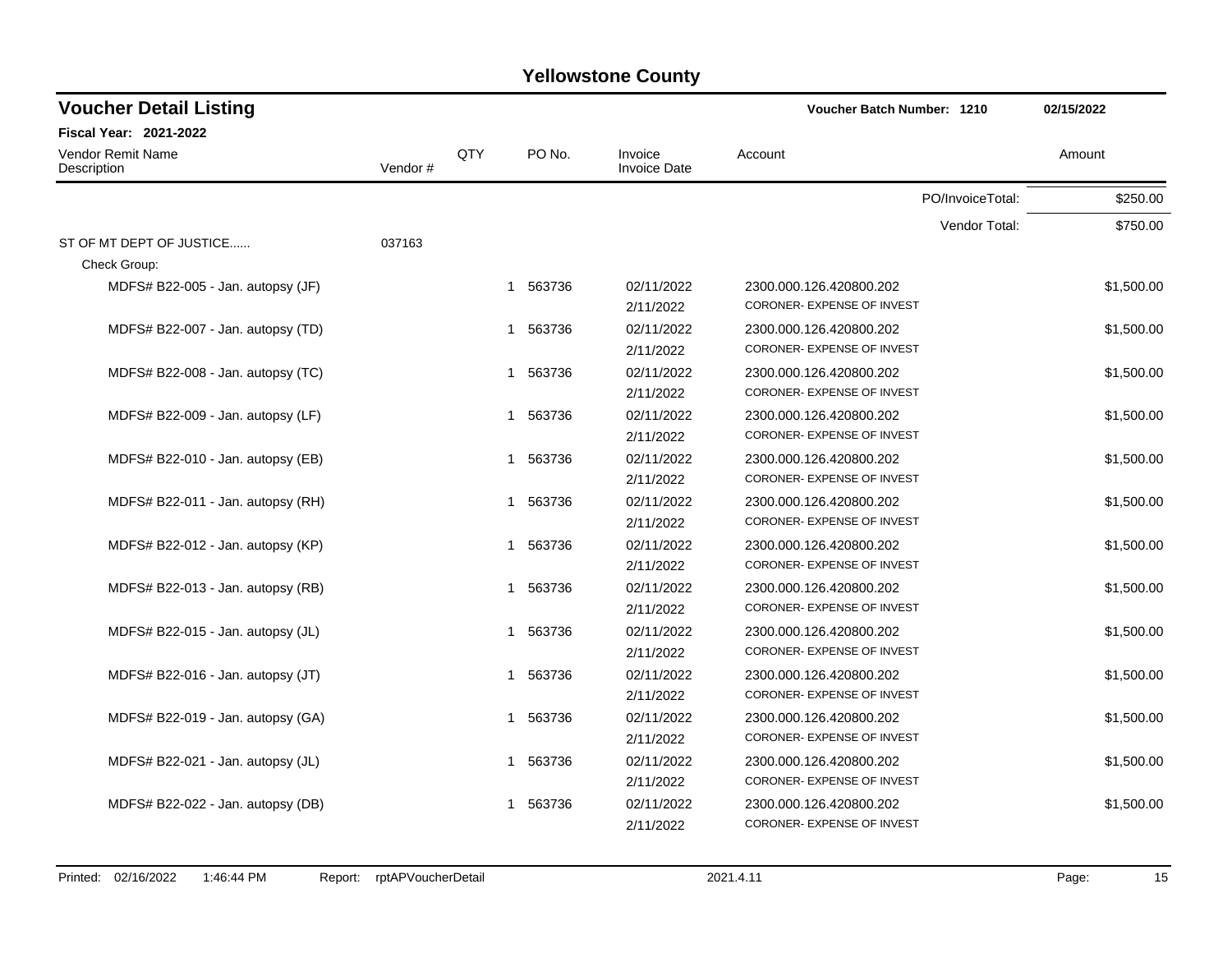| <b>Voucher Detail Listing</b>     |         |     |                        |                                | Voucher Batch Number: 1210        | 02/15/2022 |  |
|-----------------------------------|---------|-----|------------------------|--------------------------------|-----------------------------------|------------|--|
| Fiscal Year: 2021-2022            |         |     |                        |                                |                                   |            |  |
| Vendor Remit Name<br>Description  | Vendor# | QTY | PO No.                 | Invoice<br><b>Invoice Date</b> | Account                           | Amount     |  |
|                                   |         |     |                        |                                | PO/InvoiceTotal:                  | \$250.00   |  |
|                                   |         |     |                        |                                | Vendor Total:                     | \$750.00   |  |
| ST OF MT DEPT OF JUSTICE          | 037163  |     |                        |                                |                                   |            |  |
| Check Group:                      |         |     |                        |                                |                                   |            |  |
| MDFS# B22-005 - Jan. autopsy (JF) |         |     | 1 563736               | 02/11/2022                     | 2300.000.126.420800.202           | \$1,500.00 |  |
|                                   |         |     |                        | 2/11/2022                      | CORONER- EXPENSE OF INVEST        |            |  |
| MDFS# B22-007 - Jan. autopsy (TD) |         |     | 563736<br>$\mathbf 1$  | 02/11/2022                     | 2300.000.126.420800.202           | \$1,500.00 |  |
|                                   |         |     |                        | 2/11/2022                      | CORONER- EXPENSE OF INVEST        |            |  |
| MDFS# B22-008 - Jan. autopsy (TC) |         |     | 563736<br>$\mathbf 1$  | 02/11/2022                     | 2300.000.126.420800.202           | \$1,500.00 |  |
|                                   |         |     |                        | 2/11/2022                      | CORONER- EXPENSE OF INVEST        |            |  |
| MDFS# B22-009 - Jan. autopsy (LF) |         |     | 563736<br>1            | 02/11/2022                     | 2300.000.126.420800.202           | \$1,500.00 |  |
|                                   |         |     |                        | 2/11/2022                      | CORONER- EXPENSE OF INVEST        |            |  |
| MDFS# B22-010 - Jan. autopsy (EB) |         |     | 563736<br>$\mathbf{1}$ | 02/11/2022                     | 2300.000.126.420800.202           | \$1,500.00 |  |
|                                   |         |     |                        | 2/11/2022                      | CORONER- EXPENSE OF INVEST        |            |  |
| MDFS# B22-011 - Jan. autopsy (RH) |         |     | 1 563736               | 02/11/2022                     | 2300.000.126.420800.202           | \$1,500.00 |  |
|                                   |         |     |                        | 2/11/2022                      | CORONER- EXPENSE OF INVEST        |            |  |
| MDFS# B22-012 - Jan. autopsy (KP) |         |     | 563736<br>$\mathbf{1}$ | 02/11/2022                     | 2300.000.126.420800.202           | \$1,500.00 |  |
|                                   |         |     |                        | 2/11/2022                      | <b>CORONER- EXPENSE OF INVEST</b> |            |  |
| MDFS# B22-013 - Jan. autopsy (RB) |         |     | 563736<br>-1           | 02/11/2022                     | 2300.000.126.420800.202           | \$1,500.00 |  |
|                                   |         |     |                        | 2/11/2022                      | CORONER- EXPENSE OF INVEST        |            |  |
| MDFS# B22-015 - Jan. autopsy (JL) |         |     | 563736<br>$\mathbf{1}$ | 02/11/2022                     | 2300.000.126.420800.202           | \$1,500.00 |  |
|                                   |         |     |                        | 2/11/2022                      | CORONER- EXPENSE OF INVEST        |            |  |
| MDFS# B22-016 - Jan. autopsy (JT) |         |     | 563736<br>$\mathbf{1}$ | 02/11/2022                     | 2300.000.126.420800.202           | \$1,500.00 |  |
|                                   |         |     |                        | 2/11/2022                      | CORONER- EXPENSE OF INVEST        |            |  |
| MDFS# B22-019 - Jan. autopsy (GA) |         |     | 1 563736               | 02/11/2022                     | 2300.000.126.420800.202           | \$1,500.00 |  |
|                                   |         |     |                        | 2/11/2022                      | CORONER- EXPENSE OF INVEST        |            |  |
| MDFS# B22-021 - Jan. autopsy (JL) |         |     | 563736<br>$\mathbf{1}$ | 02/11/2022                     | 2300.000.126.420800.202           | \$1,500.00 |  |
|                                   |         |     |                        | 2/11/2022                      | CORONER- EXPENSE OF INVEST        |            |  |
|                                   |         |     | 1                      | 02/11/2022                     |                                   |            |  |
| MDFS# B22-022 - Jan. autopsy (DB) |         |     | 563736                 |                                | 2300.000.126.420800.202           | \$1,500.00 |  |
|                                   |         |     |                        | 2/11/2022                      | CORONER- EXPENSE OF INVEST        |            |  |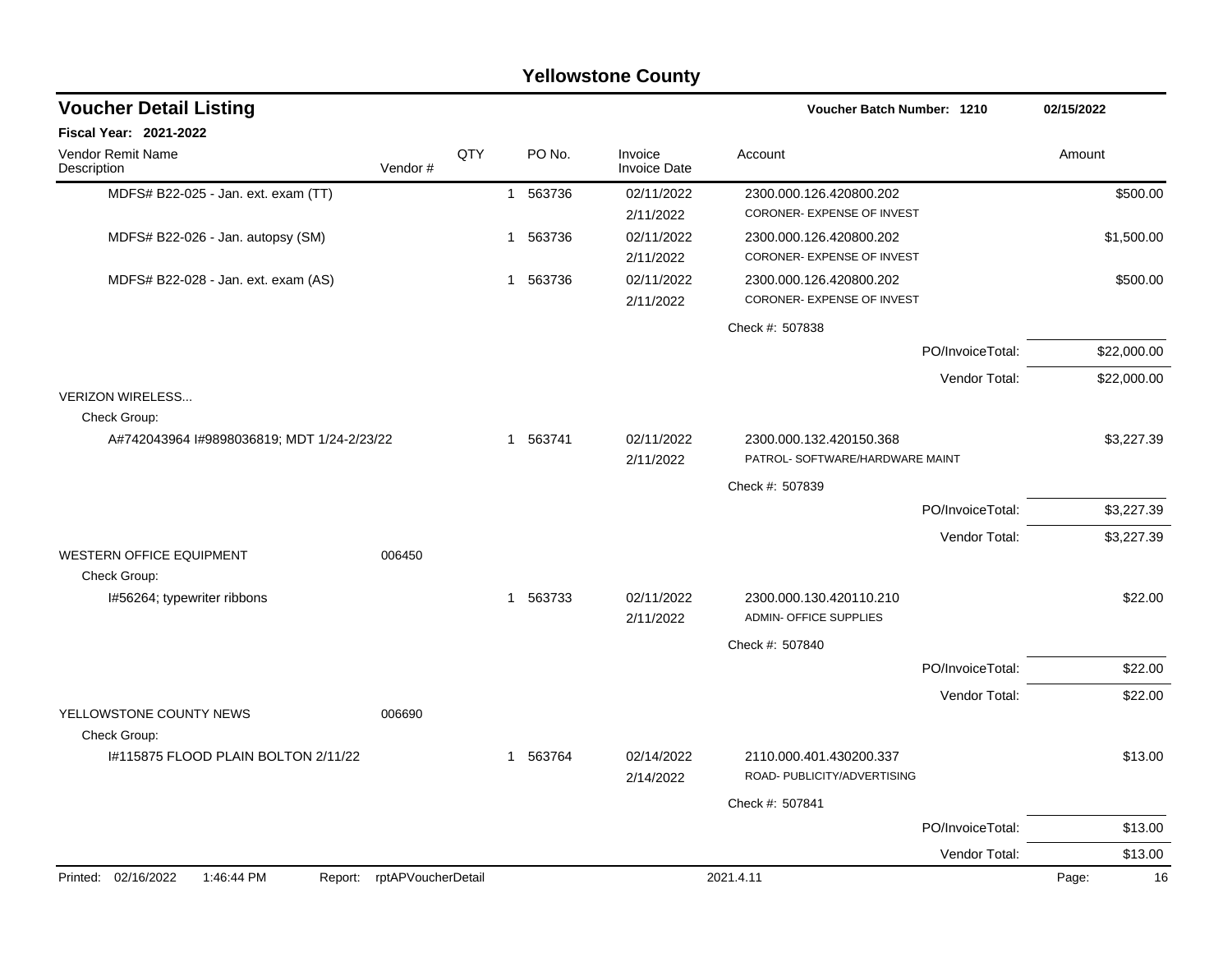|                                            |                            |     |              |          | <b>Yellowstone County</b> |                                                            |                  |            |             |
|--------------------------------------------|----------------------------|-----|--------------|----------|---------------------------|------------------------------------------------------------|------------------|------------|-------------|
| <b>Voucher Detail Listing</b>              |                            |     |              |          |                           | Voucher Batch Number: 1210                                 |                  | 02/15/2022 |             |
| Fiscal Year: 2021-2022                     |                            |     |              |          |                           |                                                            |                  |            |             |
| Vendor Remit Name<br>Description           | Vendor#                    | QTY |              | PO No.   | Invoice<br>Invoice Date   | Account                                                    |                  | Amount     |             |
| MDFS# B22-025 - Jan. ext. exam (TT)        |                            |     | $\mathbf{1}$ | 563736   | 02/11/2022                | 2300.000.126.420800.202                                    |                  |            | \$500.00    |
|                                            |                            |     |              |          | 2/11/2022                 | CORONER- EXPENSE OF INVEST                                 |                  |            |             |
| MDFS# B22-026 - Jan. autopsy (SM)          |                            |     | 1            | 563736   | 02/11/2022<br>2/11/2022   | 2300.000.126.420800.202<br>CORONER- EXPENSE OF INVEST      |                  |            | \$1,500.00  |
| MDFS# B22-028 - Jan. ext. exam (AS)        |                            |     | 1            | 563736   | 02/11/2022                | 2300.000.126.420800.202                                    |                  |            | \$500.00    |
|                                            |                            |     |              |          | 2/11/2022                 | CORONER- EXPENSE OF INVEST                                 |                  |            |             |
|                                            |                            |     |              |          |                           | Check #: 507838                                            |                  |            |             |
|                                            |                            |     |              |          |                           |                                                            | PO/InvoiceTotal: |            | \$22,000.00 |
|                                            |                            |     |              |          |                           |                                                            | Vendor Total:    |            | \$22,000.00 |
| <b>VERIZON WIRELESS</b>                    |                            |     |              |          |                           |                                                            |                  |            |             |
| Check Group:                               |                            |     |              |          |                           |                                                            |                  |            |             |
| A#742043964 I#9898036819; MDT 1/24-2/23/22 |                            |     | $\mathbf{1}$ | 563741   | 02/11/2022<br>2/11/2022   | 2300.000.132.420150.368<br>PATROL- SOFTWARE/HARDWARE MAINT |                  |            | \$3,227.39  |
|                                            |                            |     |              |          |                           | Check #: 507839                                            |                  |            |             |
|                                            |                            |     |              |          |                           |                                                            | PO/InvoiceTotal: |            | \$3,227.39  |
|                                            |                            |     |              |          |                           |                                                            | Vendor Total:    |            | \$3,227.39  |
| <b>WESTERN OFFICE EQUIPMENT</b>            | 006450                     |     |              |          |                           |                                                            |                  |            |             |
| Check Group:                               |                            |     |              |          |                           |                                                            |                  |            |             |
| I#56264; typewriter ribbons                |                            |     | 1            | 563733   | 02/11/2022<br>2/11/2022   | 2300.000.130.420110.210<br>ADMIN- OFFICE SUPPLIES          |                  |            | \$22.00     |
|                                            |                            |     |              |          |                           | Check #: 507840                                            |                  |            |             |
|                                            |                            |     |              |          |                           |                                                            | PO/InvoiceTotal: |            | \$22.00     |
|                                            |                            |     |              |          |                           |                                                            | Vendor Total:    |            | \$22.00     |
| YELLOWSTONE COUNTY NEWS                    | 006690                     |     |              |          |                           |                                                            |                  |            |             |
| Check Group:                               |                            |     |              |          |                           |                                                            |                  |            |             |
| I#115875 FLOOD PLAIN BOLTON 2/11/22        |                            |     |              | 1 563764 | 02/14/2022<br>2/14/2022   | 2110.000.401.430200.337<br>ROAD- PUBLICITY/ADVERTISING     |                  |            | \$13.00     |
|                                            |                            |     |              |          |                           | Check #: 507841                                            |                  |            |             |
|                                            |                            |     |              |          |                           |                                                            | PO/InvoiceTotal: |            | \$13.00     |
|                                            |                            |     |              |          |                           |                                                            | Vendor Total:    |            | \$13.00     |
| Printed: 02/16/2022<br>1:46:44 PM          | Report: rptAPVoucherDetail |     |              |          |                           | 2021.4.11                                                  |                  | Page:      | 16          |